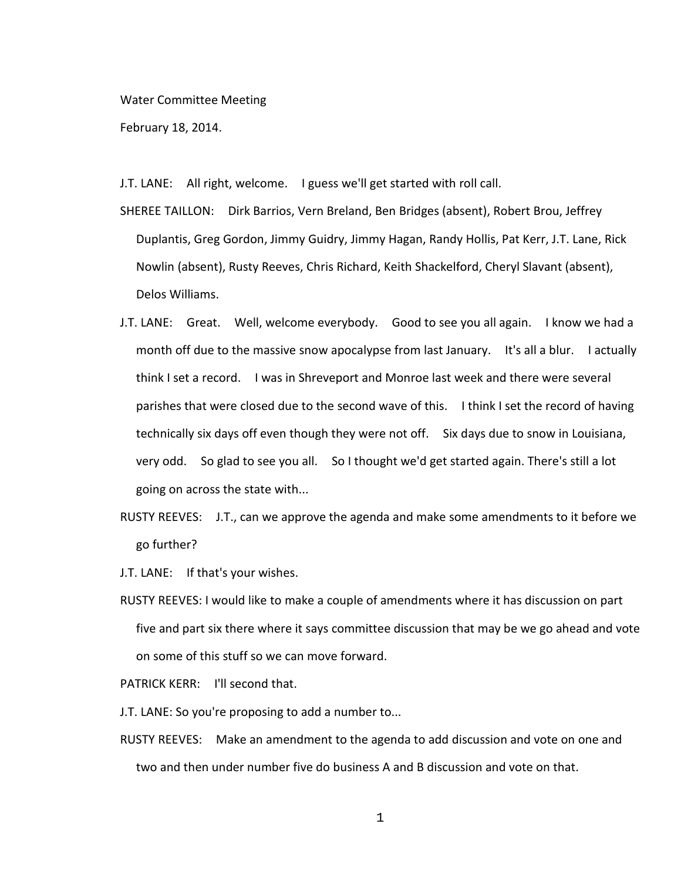Water Committee Meeting

February 18, 2014.

J.T. LANE: All right, welcome. I guess we'll get started with roll call.

- SHEREE TAILLON: Dirk Barrios, Vern Breland, Ben Bridges (absent), Robert Brou, Jeffrey Duplantis, Greg Gordon, Jimmy Guidry, Jimmy Hagan, Randy Hollis, Pat Kerr, J.T. Lane, Rick Nowlin (absent), Rusty Reeves, Chris Richard, Keith Shackelford, Cheryl Slavant (absent), Delos Williams.
- J.T. LANE: Great. Well, welcome everybody. Good to see you all again. I know we had a month off due to the massive snow apocalypse from last January. It's all a blur. I actually think I set a record. I was in Shreveport and Monroe last week and there were several parishes that were closed due to the second wave of this. I think I set the record of having technically six days off even though they were not off. Six days due to snow in Louisiana, very odd. So glad to see you all. So I thought we'd get started again. There's still a lot going on across the state with...
- RUSTY REEVES: J.T., can we approve the agenda and make some amendments to it before we go further?
- J.T. LANE: If that's your wishes.
- RUSTY REEVES: I would like to make a couple of amendments where it has discussion on part five and part six there where it says committee discussion that may be we go ahead and vote on some of this stuff so we can move forward.

PATRICK KERR: I'll second that.

J.T. LANE: So you're proposing to add a number to...

RUSTY REEVES: Make an amendment to the agenda to add discussion and vote on one and two and then under number five do business A and B discussion and vote on that.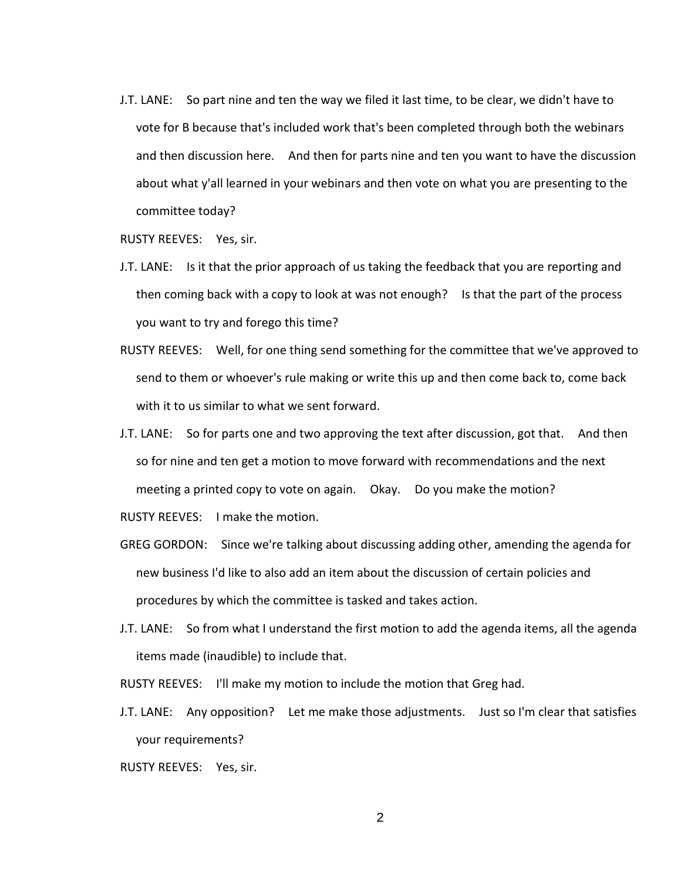J.T. LANE: So part nine and ten the way we filed it last time, to be clear, we didn't have to vote for B because that's included work that's been completed through both the webinars and then discussion here. And then for parts nine and ten you want to have the discussion about what y'all learned in your webinars and then vote on what you are presenting to the committee today?

RUSTY REEVES: Yes, sir.

- J.T. LANE: Is it that the prior approach of us taking the feedback that you are reporting and then coming back with a copy to look at was not enough? Is that the part of the process you want to try and forego this time?
- RUSTY REEVES: Well, for one thing send something for the committee that we've approved to send to them or whoever's rule making or write this up and then come back to, come back with it to us similar to what we sent forward.
- J.T. LANE: So for parts one and two approving the text after discussion, got that. And then so for nine and ten get a motion to move forward with recommendations and the next meeting a printed copy to vote on again. Okay. Do you make the motion? RUSTY REEVES: I make the motion.
- GREG GORDON: Since we're talking about discussing adding other, amending the agenda for new business I'd like to also add an item about the discussion of certain policies and procedures by which the committee is tasked and takes action.
- J.T. LANE: So from what I understand the first motion to add the agenda items, all the agenda items made (inaudible) to include that.

RUSTY REEVES: I'll make my motion to include the motion that Greg had.

J.T. LANE: Any opposition? Let me make those adjustments. Just so I'm clear that satisfies your requirements?

RUSTY REEVES: Yes, sir.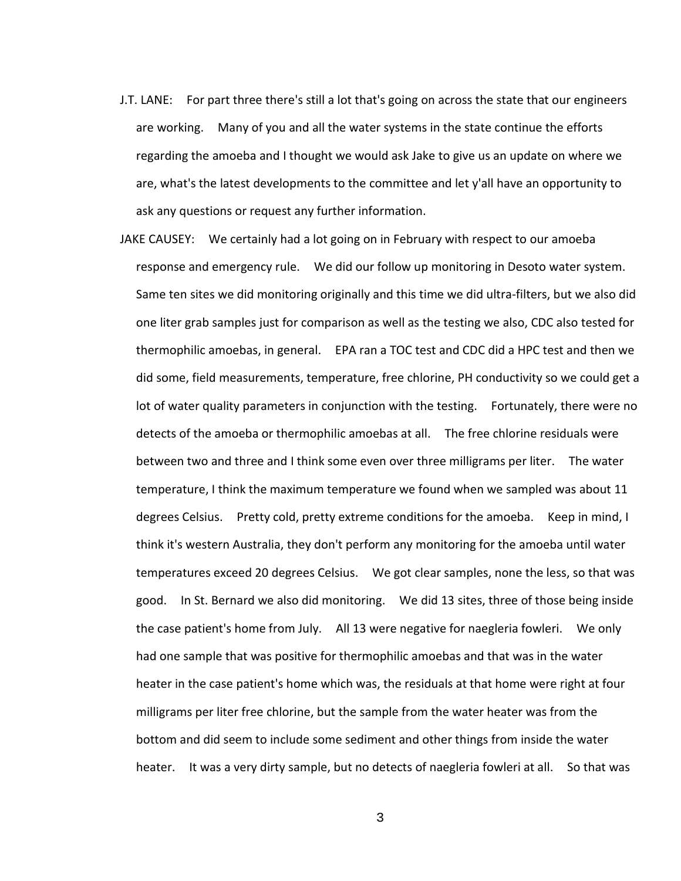- J.T. LANE: For part three there's still a lot that's going on across the state that our engineers are working. Many of you and all the water systems in the state continue the efforts regarding the amoeba and I thought we would ask Jake to give us an update on where we are, what's the latest developments to the committee and let y'all have an opportunity to ask any questions or request any further information.
- JAKE CAUSEY: We certainly had a lot going on in February with respect to our amoeba response and emergency rule. We did our follow up monitoring in Desoto water system. Same ten sites we did monitoring originally and this time we did ultra-filters, but we also did one liter grab samples just for comparison as well as the testing we also, CDC also tested for thermophilic amoebas, in general. EPA ran a TOC test and CDC did a HPC test and then we did some, field measurements, temperature, free chlorine, PH conductivity so we could get a lot of water quality parameters in conjunction with the testing. Fortunately, there were no detects of the amoeba or thermophilic amoebas at all. The free chlorine residuals were between two and three and I think some even over three milligrams per liter. The water temperature, I think the maximum temperature we found when we sampled was about 11 degrees Celsius. Pretty cold, pretty extreme conditions for the amoeba. Keep in mind, I think it's western Australia, they don't perform any monitoring for the amoeba until water temperatures exceed 20 degrees Celsius. We got clear samples, none the less, so that was good. In St. Bernard we also did monitoring. We did 13 sites, three of those being inside the case patient's home from July. All 13 were negative for naegleria fowleri. We only had one sample that was positive for thermophilic amoebas and that was in the water heater in the case patient's home which was, the residuals at that home were right at four milligrams per liter free chlorine, but the sample from the water heater was from the bottom and did seem to include some sediment and other things from inside the water heater. It was a very dirty sample, but no detects of naegleria fowleri at all. So that was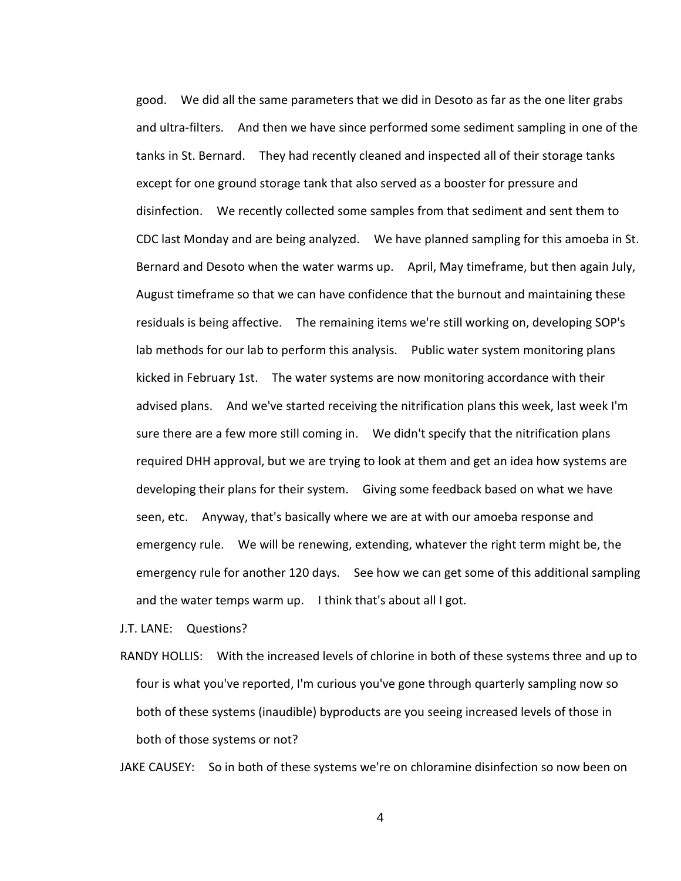good. We did all the same parameters that we did in Desoto as far as the one liter grabs and ultra-filters. And then we have since performed some sediment sampling in one of the tanks in St. Bernard. They had recently cleaned and inspected all of their storage tanks except for one ground storage tank that also served as a booster for pressure and disinfection. We recently collected some samples from that sediment and sent them to CDC last Monday and are being analyzed. We have planned sampling for this amoeba in St. Bernard and Desoto when the water warms up. April, May timeframe, but then again July, August timeframe so that we can have confidence that the burnout and maintaining these residuals is being affective. The remaining items we're still working on, developing SOP's lab methods for our lab to perform this analysis. Public water system monitoring plans kicked in February 1st. The water systems are now monitoring accordance with their advised plans. And we've started receiving the nitrification plans this week, last week I'm sure there are a few more still coming in. We didn't specify that the nitrification plans required DHH approval, but we are trying to look at them and get an idea how systems are developing their plans for their system. Giving some feedback based on what we have seen, etc. Anyway, that's basically where we are at with our amoeba response and emergency rule. We will be renewing, extending, whatever the right term might be, the emergency rule for another 120 days. See how we can get some of this additional sampling and the water temps warm up. I think that's about all I got.

J.T. LANE: Questions?

RANDY HOLLIS: With the increased levels of chlorine in both of these systems three and up to four is what you've reported, I'm curious you've gone through quarterly sampling now so both of these systems (inaudible) byproducts are you seeing increased levels of those in both of those systems or not?

JAKE CAUSEY: So in both of these systems we're on chloramine disinfection so now been on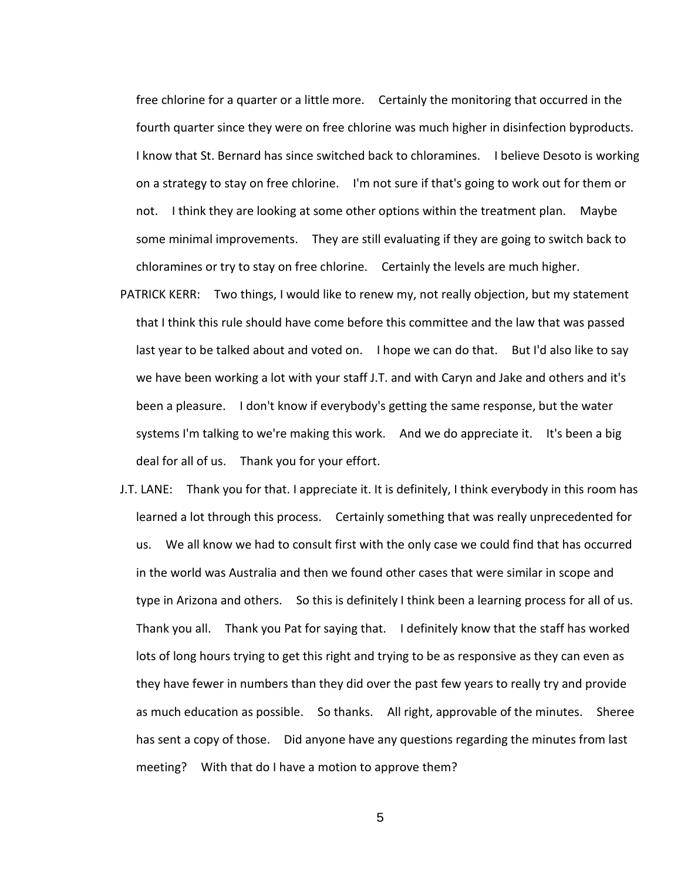free chlorine for a quarter or a little more. Certainly the monitoring that occurred in the fourth quarter since they were on free chlorine was much higher in disinfection byproducts. I know that St. Bernard has since switched back to chloramines. I believe Desoto is working on a strategy to stay on free chlorine. I'm not sure if that's going to work out for them or not. I think they are looking at some other options within the treatment plan. Maybe some minimal improvements. They are still evaluating if they are going to switch back to chloramines or try to stay on free chlorine. Certainly the levels are much higher.

- PATRICK KERR: Two things, I would like to renew my, not really objection, but my statement that I think this rule should have come before this committee and the law that was passed last year to be talked about and voted on. I hope we can do that. But I'd also like to say we have been working a lot with your staff J.T. and with Caryn and Jake and others and it's been a pleasure. I don't know if everybody's getting the same response, but the water systems I'm talking to we're making this work. And we do appreciate it. It's been a big deal for all of us. Thank you for your effort.
- J.T. LANE: Thank you for that. I appreciate it. It is definitely, I think everybody in this room has learned a lot through this process. Certainly something that was really unprecedented for us. We all know we had to consult first with the only case we could find that has occurred in the world was Australia and then we found other cases that were similar in scope and type in Arizona and others. So this is definitely I think been a learning process for all of us. Thank you all. Thank you Pat for saying that. I definitely know that the staff has worked lots of long hours trying to get this right and trying to be as responsive as they can even as they have fewer in numbers than they did over the past few years to really try and provide as much education as possible. So thanks. All right, approvable of the minutes. Sheree has sent a copy of those. Did anyone have any questions regarding the minutes from last meeting? With that do I have a motion to approve them?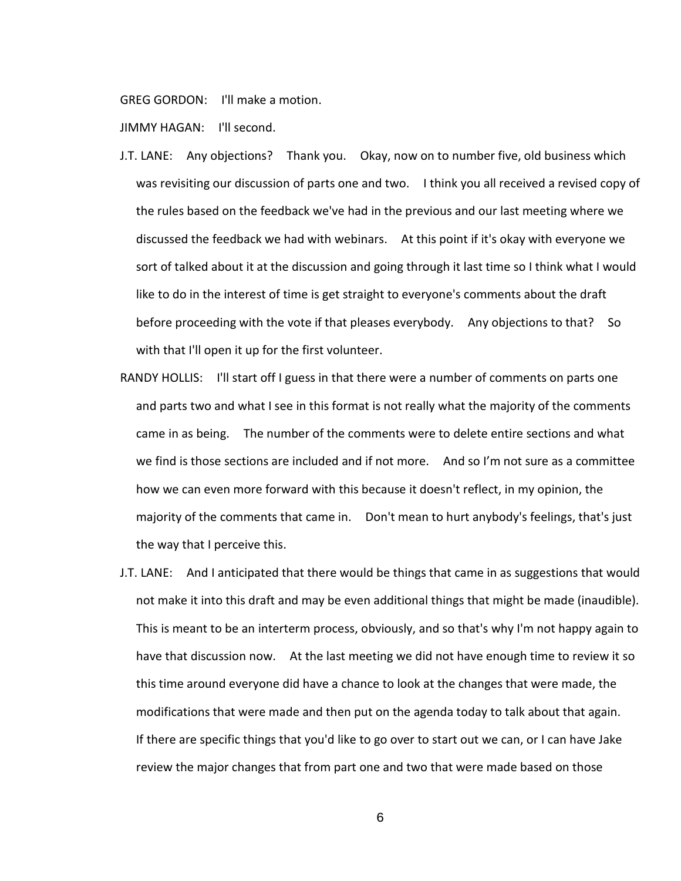GREG GORDON: I'll make a motion.

JIMMY HAGAN: I'll second.

- J.T. LANE: Any objections? Thank you. Okay, now on to number five, old business which was revisiting our discussion of parts one and two. I think you all received a revised copy of the rules based on the feedback we've had in the previous and our last meeting where we discussed the feedback we had with webinars. At this point if it's okay with everyone we sort of talked about it at the discussion and going through it last time so I think what I would like to do in the interest of time is get straight to everyone's comments about the draft before proceeding with the vote if that pleases everybody. Any objections to that? So with that I'll open it up for the first volunteer.
- RANDY HOLLIS: I'll start off I guess in that there were a number of comments on parts one and parts two and what I see in this format is not really what the majority of the comments came in as being. The number of the comments were to delete entire sections and what we find is those sections are included and if not more. And so I'm not sure as a committee how we can even more forward with this because it doesn't reflect, in my opinion, the majority of the comments that came in. Don't mean to hurt anybody's feelings, that's just the way that I perceive this.
- J.T. LANE: And I anticipated that there would be things that came in as suggestions that would not make it into this draft and may be even additional things that might be made (inaudible). This is meant to be an interterm process, obviously, and so that's why I'm not happy again to have that discussion now. At the last meeting we did not have enough time to review it so this time around everyone did have a chance to look at the changes that were made, the modifications that were made and then put on the agenda today to talk about that again. If there are specific things that you'd like to go over to start out we can, or I can have Jake review the major changes that from part one and two that were made based on those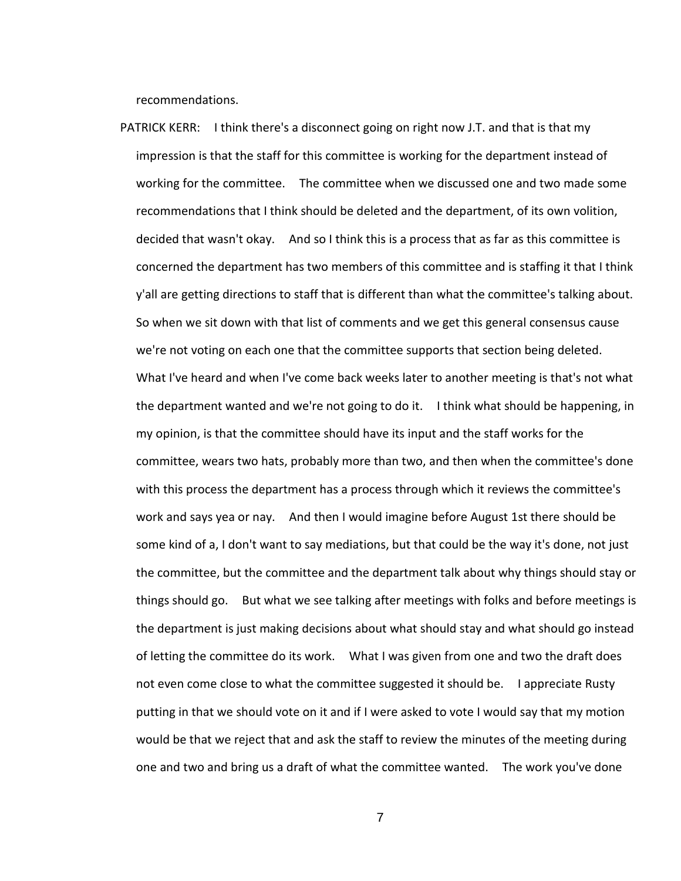recommendations.

PATRICK KERR: I think there's a disconnect going on right now J.T. and that is that my impression is that the staff for this committee is working for the department instead of working for the committee. The committee when we discussed one and two made some recommendations that I think should be deleted and the department, of its own volition, decided that wasn't okay. And so I think this is a process that as far as this committee is concerned the department has two members of this committee and is staffing it that I think y'all are getting directions to staff that is different than what the committee's talking about. So when we sit down with that list of comments and we get this general consensus cause we're not voting on each one that the committee supports that section being deleted. What I've heard and when I've come back weeks later to another meeting is that's not what the department wanted and we're not going to do it. I think what should be happening, in my opinion, is that the committee should have its input and the staff works for the committee, wears two hats, probably more than two, and then when the committee's done with this process the department has a process through which it reviews the committee's work and says yea or nay. And then I would imagine before August 1st there should be some kind of a, I don't want to say mediations, but that could be the way it's done, not just the committee, but the committee and the department talk about why things should stay or things should go. But what we see talking after meetings with folks and before meetings is the department is just making decisions about what should stay and what should go instead of letting the committee do its work. What I was given from one and two the draft does not even come close to what the committee suggested it should be. I appreciate Rusty putting in that we should vote on it and if I were asked to vote I would say that my motion would be that we reject that and ask the staff to review the minutes of the meeting during one and two and bring us a draft of what the committee wanted. The work you've done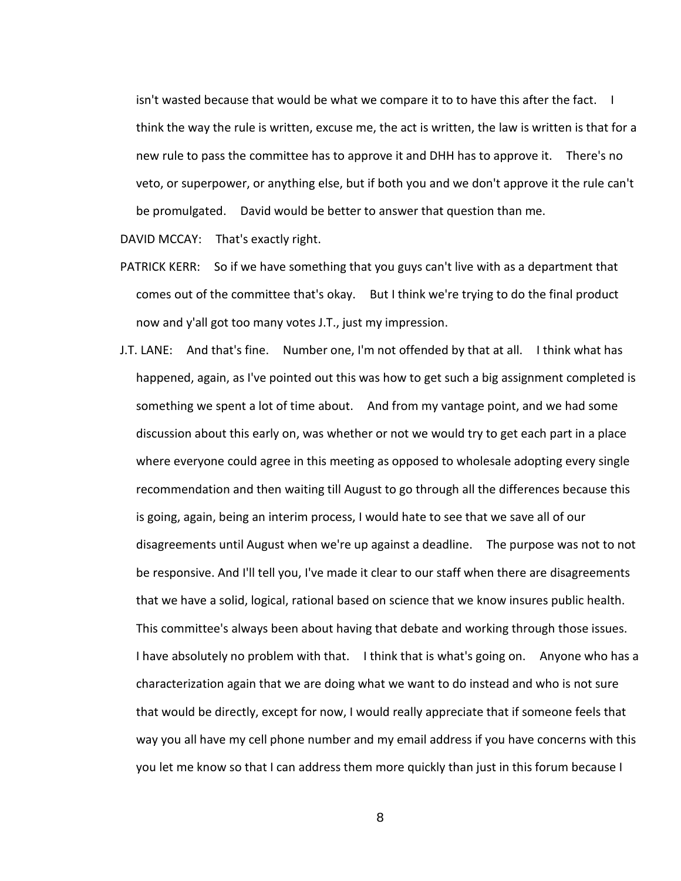isn't wasted because that would be what we compare it to to have this after the fact. I think the way the rule is written, excuse me, the act is written, the law is written is that for a new rule to pass the committee has to approve it and DHH has to approve it. There's no veto, or superpower, or anything else, but if both you and we don't approve it the rule can't be promulgated. David would be better to answer that question than me.

DAVID MCCAY: That's exactly right.

- PATRICK KERR: So if we have something that you guys can't live with as a department that comes out of the committee that's okay. But I think we're trying to do the final product now and y'all got too many votes J.T., just my impression.
- J.T. LANE: And that's fine. Number one, I'm not offended by that at all. I think what has happened, again, as I've pointed out this was how to get such a big assignment completed is something we spent a lot of time about. And from my vantage point, and we had some discussion about this early on, was whether or not we would try to get each part in a place where everyone could agree in this meeting as opposed to wholesale adopting every single recommendation and then waiting till August to go through all the differences because this is going, again, being an interim process, I would hate to see that we save all of our disagreements until August when we're up against a deadline. The purpose was not to not be responsive. And I'll tell you, I've made it clear to our staff when there are disagreements that we have a solid, logical, rational based on science that we know insures public health. This committee's always been about having that debate and working through those issues. I have absolutely no problem with that. I think that is what's going on. Anyone who has a characterization again that we are doing what we want to do instead and who is not sure that would be directly, except for now, I would really appreciate that if someone feels that way you all have my cell phone number and my email address if you have concerns with this you let me know so that I can address them more quickly than just in this forum because I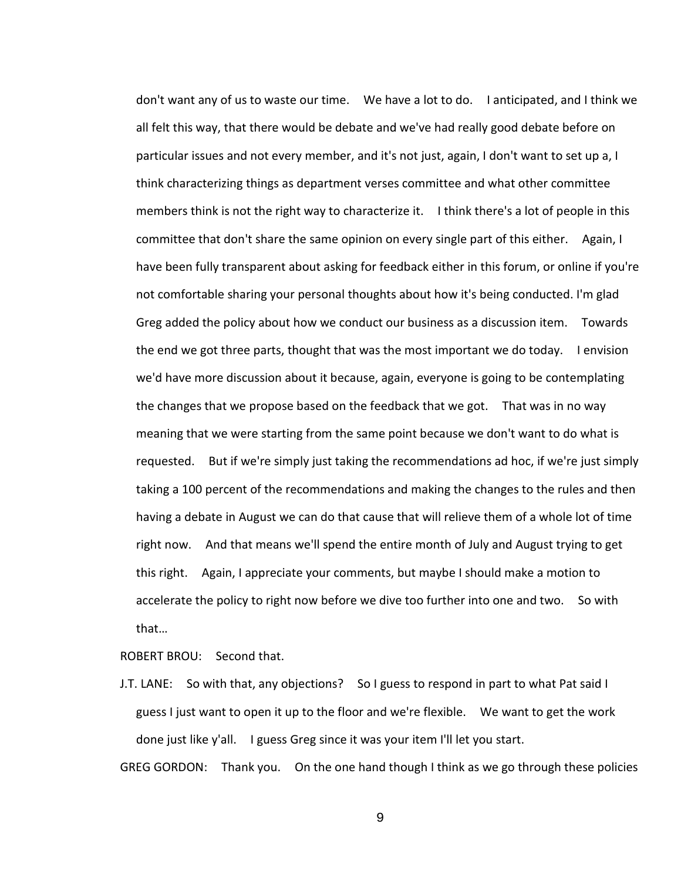don't want any of us to waste our time. We have a lot to do. I anticipated, and I think we all felt this way, that there would be debate and we've had really good debate before on particular issues and not every member, and it's not just, again, I don't want to set up a, I think characterizing things as department verses committee and what other committee members think is not the right way to characterize it. I think there's a lot of people in this committee that don't share the same opinion on every single part of this either. Again, I have been fully transparent about asking for feedback either in this forum, or online if you're not comfortable sharing your personal thoughts about how it's being conducted. I'm glad Greg added the policy about how we conduct our business as a discussion item. Towards the end we got three parts, thought that was the most important we do today. I envision we'd have more discussion about it because, again, everyone is going to be contemplating the changes that we propose based on the feedback that we got. That was in no way meaning that we were starting from the same point because we don't want to do what is requested. But if we're simply just taking the recommendations ad hoc, if we're just simply taking a 100 percent of the recommendations and making the changes to the rules and then having a debate in August we can do that cause that will relieve them of a whole lot of time right now. And that means we'll spend the entire month of July and August trying to get this right. Again, I appreciate your comments, but maybe I should make a motion to accelerate the policy to right now before we dive too further into one and two. So with that…

ROBERT BROU: Second that.

J.T. LANE: So with that, any objections? So I guess to respond in part to what Pat said I guess I just want to open it up to the floor and we're flexible. We want to get the work done just like y'all. I guess Greg since it was your item I'll let you start.

GREG GORDON: Thank you. On the one hand though I think as we go through these policies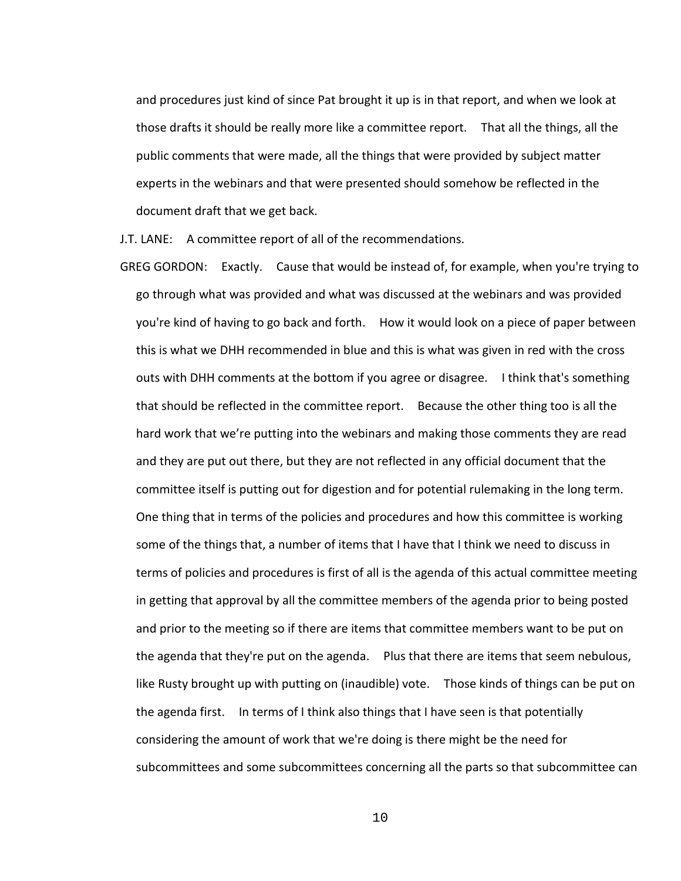and procedures just kind of since Pat brought it up is in that report, and when we look at those drafts it should be really more like a committee report. That all the things, all the public comments that were made, all the things that were provided by subject matter experts in the webinars and that were presented should somehow be reflected in the document draft that we get back.

J.T. LANE: A committee report of all of the recommendations.

GREG GORDON: Exactly. Cause that would be instead of, for example, when you're trying to go through what was provided and what was discussed at the webinars and was provided you're kind of having to go back and forth. How it would look on a piece of paper between this is what we DHH recommended in blue and this is what was given in red with the cross outs with DHH comments at the bottom if you agree or disagree. I think that's something that should be reflected in the committee report. Because the other thing too is all the hard work that we're putting into the webinars and making those comments they are read and they are put out there, but they are not reflected in any official document that the committee itself is putting out for digestion and for potential rulemaking in the long term. One thing that in terms of the policies and procedures and how this committee is working some of the things that, a number of items that I have that I think we need to discuss in terms of policies and procedures is first of all is the agenda of this actual committee meeting in getting that approval by all the committee members of the agenda prior to being posted and prior to the meeting so if there are items that committee members want to be put on the agenda that they're put on the agenda. Plus that there are items that seem nebulous, like Rusty brought up with putting on (inaudible) vote. Those kinds of things can be put on the agenda first. In terms of I think also things that I have seen is that potentially considering the amount of work that we're doing is there might be the need for subcommittees and some subcommittees concerning all the parts so that subcommittee can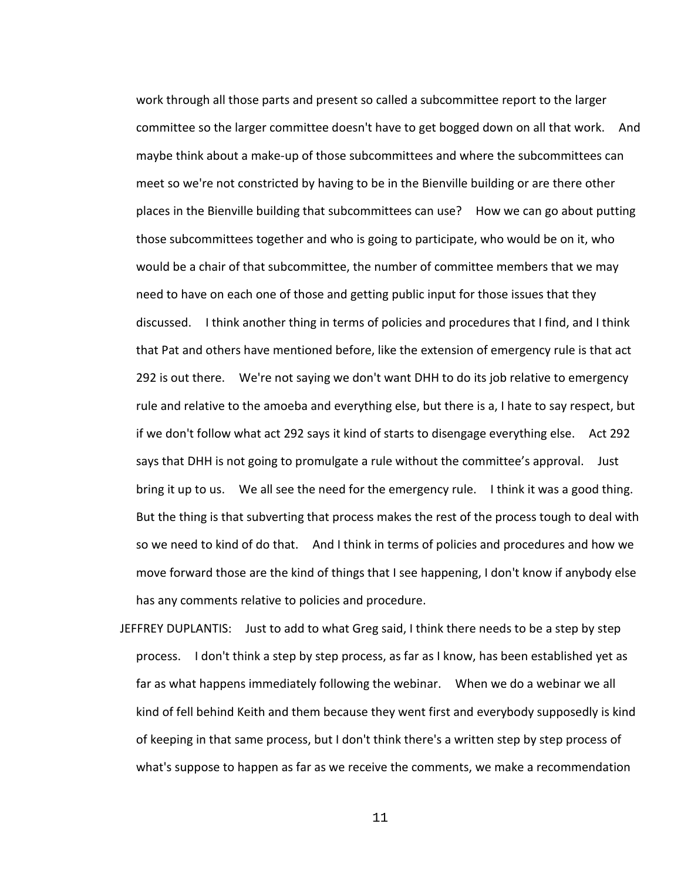work through all those parts and present so called a subcommittee report to the larger committee so the larger committee doesn't have to get bogged down on all that work. And maybe think about a make-up of those subcommittees and where the subcommittees can meet so we're not constricted by having to be in the Bienville building or are there other places in the Bienville building that subcommittees can use? How we can go about putting those subcommittees together and who is going to participate, who would be on it, who would be a chair of that subcommittee, the number of committee members that we may need to have on each one of those and getting public input for those issues that they discussed. I think another thing in terms of policies and procedures that I find, and I think that Pat and others have mentioned before, like the extension of emergency rule is that act 292 is out there. We're not saying we don't want DHH to do its job relative to emergency rule and relative to the amoeba and everything else, but there is a, I hate to say respect, but if we don't follow what act 292 says it kind of starts to disengage everything else. Act 292 says that DHH is not going to promulgate a rule without the committee's approval. Just bring it up to us. We all see the need for the emergency rule. I think it was a good thing. But the thing is that subverting that process makes the rest of the process tough to deal with so we need to kind of do that. And I think in terms of policies and procedures and how we move forward those are the kind of things that I see happening, I don't know if anybody else has any comments relative to policies and procedure.

JEFFREY DUPLANTIS: Just to add to what Greg said, I think there needs to be a step by step process. I don't think a step by step process, as far as I know, has been established yet as far as what happens immediately following the webinar. When we do a webinar we all kind of fell behind Keith and them because they went first and everybody supposedly is kind of keeping in that same process, but I don't think there's a written step by step process of what's suppose to happen as far as we receive the comments, we make a recommendation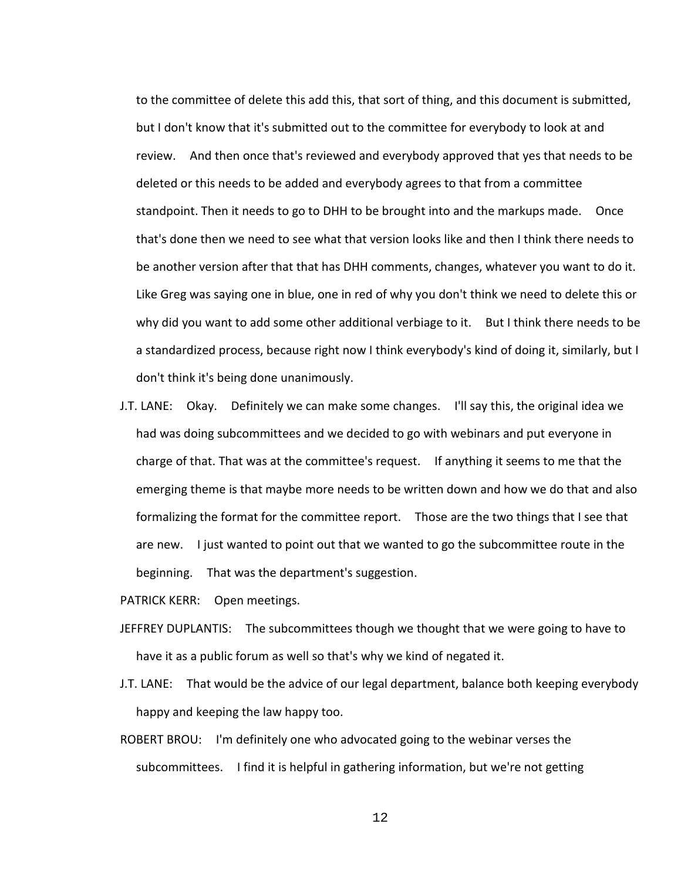to the committee of delete this add this, that sort of thing, and this document is submitted, but I don't know that it's submitted out to the committee for everybody to look at and review. And then once that's reviewed and everybody approved that yes that needs to be deleted or this needs to be added and everybody agrees to that from a committee standpoint. Then it needs to go to DHH to be brought into and the markups made. Once that's done then we need to see what that version looks like and then I think there needs to be another version after that that has DHH comments, changes, whatever you want to do it. Like Greg was saying one in blue, one in red of why you don't think we need to delete this or why did you want to add some other additional verbiage to it. But I think there needs to be a standardized process, because right now I think everybody's kind of doing it, similarly, but I don't think it's being done unanimously.

J.T. LANE: Okay. Definitely we can make some changes. I'll say this, the original idea we had was doing subcommittees and we decided to go with webinars and put everyone in charge of that. That was at the committee's request. If anything it seems to me that the emerging theme is that maybe more needs to be written down and how we do that and also formalizing the format for the committee report. Those are the two things that I see that are new. I just wanted to point out that we wanted to go the subcommittee route in the beginning. That was the department's suggestion.

PATRICK KERR: Open meetings.

- JEFFREY DUPLANTIS: The subcommittees though we thought that we were going to have to have it as a public forum as well so that's why we kind of negated it.
- J.T. LANE: That would be the advice of our legal department, balance both keeping everybody happy and keeping the law happy too.
- ROBERT BROU: I'm definitely one who advocated going to the webinar verses the subcommittees. I find it is helpful in gathering information, but we're not getting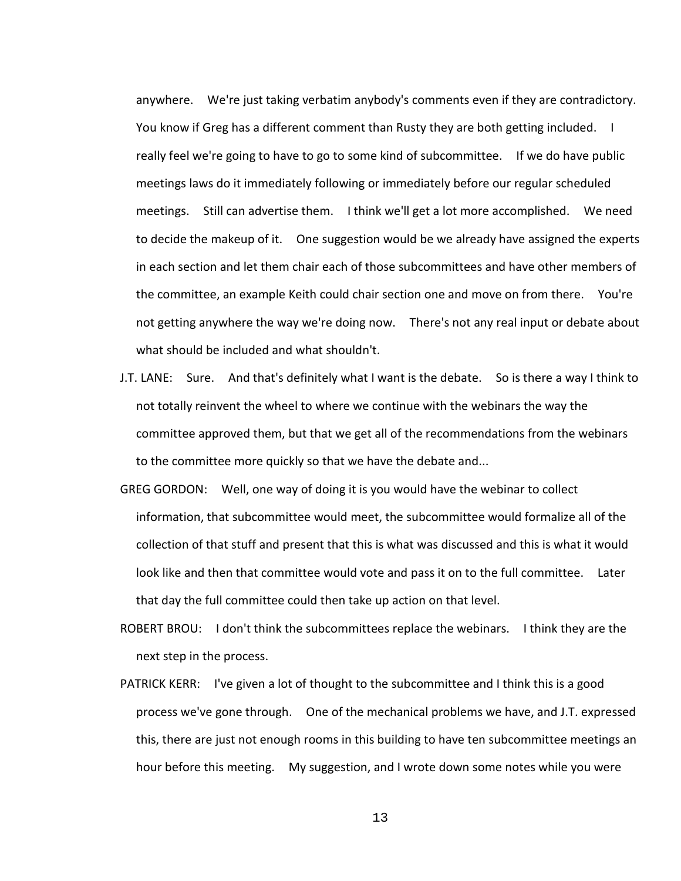anywhere. We're just taking verbatim anybody's comments even if they are contradictory. You know if Greg has a different comment than Rusty they are both getting included. I really feel we're going to have to go to some kind of subcommittee. If we do have public meetings laws do it immediately following or immediately before our regular scheduled meetings. Still can advertise them. I think we'll get a lot more accomplished. We need to decide the makeup of it. One suggestion would be we already have assigned the experts in each section and let them chair each of those subcommittees and have other members of the committee, an example Keith could chair section one and move on from there. You're not getting anywhere the way we're doing now. There's not any real input or debate about what should be included and what shouldn't.

- J.T. LANE: Sure. And that's definitely what I want is the debate. So is there a way I think to not totally reinvent the wheel to where we continue with the webinars the way the committee approved them, but that we get all of the recommendations from the webinars to the committee more quickly so that we have the debate and...
- GREG GORDON: Well, one way of doing it is you would have the webinar to collect information, that subcommittee would meet, the subcommittee would formalize all of the collection of that stuff and present that this is what was discussed and this is what it would look like and then that committee would vote and pass it on to the full committee. Later that day the full committee could then take up action on that level.
- ROBERT BROU: I don't think the subcommittees replace the webinars. I think they are the next step in the process.
- PATRICK KERR: I've given a lot of thought to the subcommittee and I think this is a good process we've gone through. One of the mechanical problems we have, and J.T. expressed this, there are just not enough rooms in this building to have ten subcommittee meetings an hour before this meeting. My suggestion, and I wrote down some notes while you were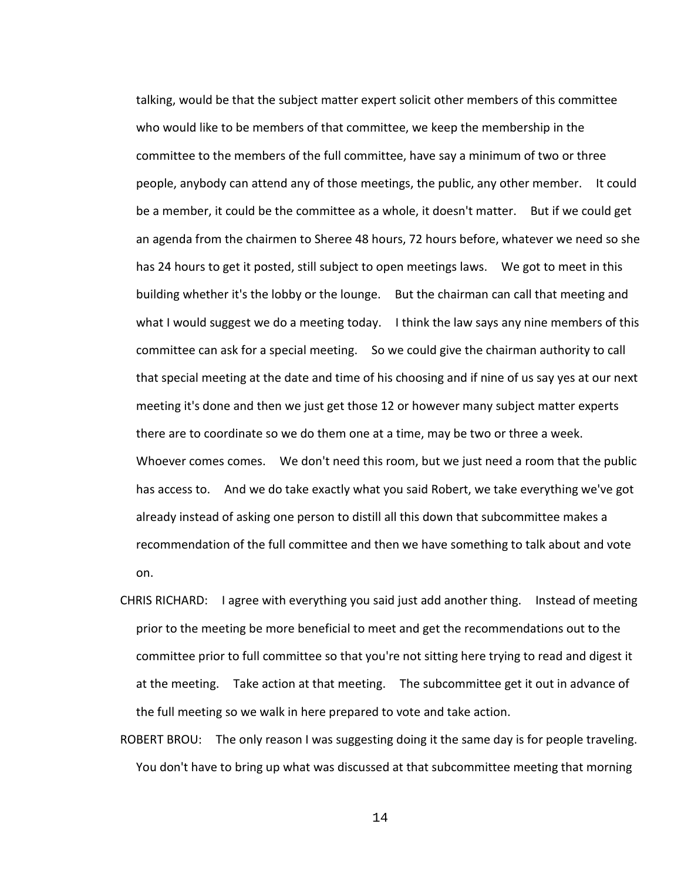talking, would be that the subject matter expert solicit other members of this committee who would like to be members of that committee, we keep the membership in the committee to the members of the full committee, have say a minimum of two or three people, anybody can attend any of those meetings, the public, any other member. It could be a member, it could be the committee as a whole, it doesn't matter. But if we could get an agenda from the chairmen to Sheree 48 hours, 72 hours before, whatever we need so she has 24 hours to get it posted, still subject to open meetings laws. We got to meet in this building whether it's the lobby or the lounge. But the chairman can call that meeting and what I would suggest we do a meeting today. I think the law says any nine members of this committee can ask for a special meeting. So we could give the chairman authority to call that special meeting at the date and time of his choosing and if nine of us say yes at our next meeting it's done and then we just get those 12 or however many subject matter experts there are to coordinate so we do them one at a time, may be two or three a week. Whoever comes comes. We don't need this room, but we just need a room that the public has access to. And we do take exactly what you said Robert, we take everything we've got already instead of asking one person to distill all this down that subcommittee makes a recommendation of the full committee and then we have something to talk about and vote on.

- CHRIS RICHARD: I agree with everything you said just add another thing. Instead of meeting prior to the meeting be more beneficial to meet and get the recommendations out to the committee prior to full committee so that you're not sitting here trying to read and digest it at the meeting. Take action at that meeting. The subcommittee get it out in advance of the full meeting so we walk in here prepared to vote and take action.
- ROBERT BROU: The only reason I was suggesting doing it the same day is for people traveling. You don't have to bring up what was discussed at that subcommittee meeting that morning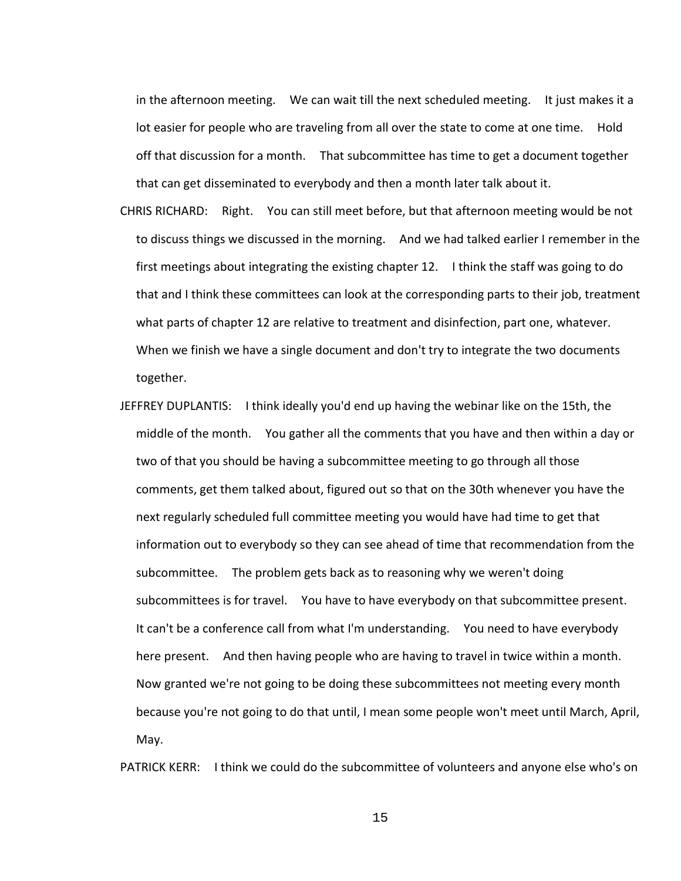in the afternoon meeting. We can wait till the next scheduled meeting. It just makes it a lot easier for people who are traveling from all over the state to come at one time. Hold off that discussion for a month. That subcommittee has time to get a document together that can get disseminated to everybody and then a month later talk about it.

- CHRIS RICHARD: Right. You can still meet before, but that afternoon meeting would be not to discuss things we discussed in the morning. And we had talked earlier I remember in the first meetings about integrating the existing chapter 12. I think the staff was going to do that and I think these committees can look at the corresponding parts to their job, treatment what parts of chapter 12 are relative to treatment and disinfection, part one, whatever. When we finish we have a single document and don't try to integrate the two documents together.
- JEFFREY DUPLANTIS: I think ideally you'd end up having the webinar like on the 15th, the middle of the month. You gather all the comments that you have and then within a day or two of that you should be having a subcommittee meeting to go through all those comments, get them talked about, figured out so that on the 30th whenever you have the next regularly scheduled full committee meeting you would have had time to get that information out to everybody so they can see ahead of time that recommendation from the subcommittee. The problem gets back as to reasoning why we weren't doing subcommittees is for travel. You have to have everybody on that subcommittee present. It can't be a conference call from what I'm understanding. You need to have everybody here present. And then having people who are having to travel in twice within a month. Now granted we're not going to be doing these subcommittees not meeting every month because you're not going to do that until, I mean some people won't meet until March, April, May.

PATRICK KERR: I think we could do the subcommittee of volunteers and anyone else who's on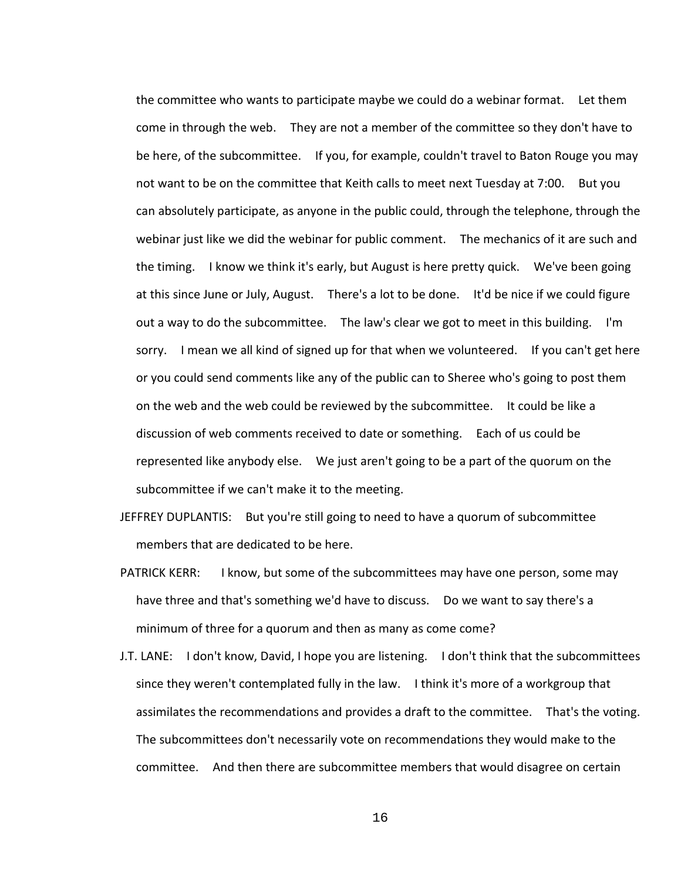the committee who wants to participate maybe we could do a webinar format. Let them come in through the web. They are not a member of the committee so they don't have to be here, of the subcommittee. If you, for example, couldn't travel to Baton Rouge you may not want to be on the committee that Keith calls to meet next Tuesday at 7:00. But you can absolutely participate, as anyone in the public could, through the telephone, through the webinar just like we did the webinar for public comment. The mechanics of it are such and the timing. I know we think it's early, but August is here pretty quick. We've been going at this since June or July, August. There's a lot to be done. It'd be nice if we could figure out a way to do the subcommittee. The law's clear we got to meet in this building. I'm sorry. I mean we all kind of signed up for that when we volunteered. If you can't get here or you could send comments like any of the public can to Sheree who's going to post them on the web and the web could be reviewed by the subcommittee. It could be like a discussion of web comments received to date or something. Each of us could be represented like anybody else. We just aren't going to be a part of the quorum on the subcommittee if we can't make it to the meeting.

- JEFFREY DUPLANTIS: But you're still going to need to have a quorum of subcommittee members that are dedicated to be here.
- PATRICK KERR: I know, but some of the subcommittees may have one person, some may have three and that's something we'd have to discuss. Do we want to say there's a minimum of three for a quorum and then as many as come come?
- J.T. LANE: I don't know, David, I hope you are listening. I don't think that the subcommittees since they weren't contemplated fully in the law. I think it's more of a workgroup that assimilates the recommendations and provides a draft to the committee. That's the voting. The subcommittees don't necessarily vote on recommendations they would make to the committee. And then there are subcommittee members that would disagree on certain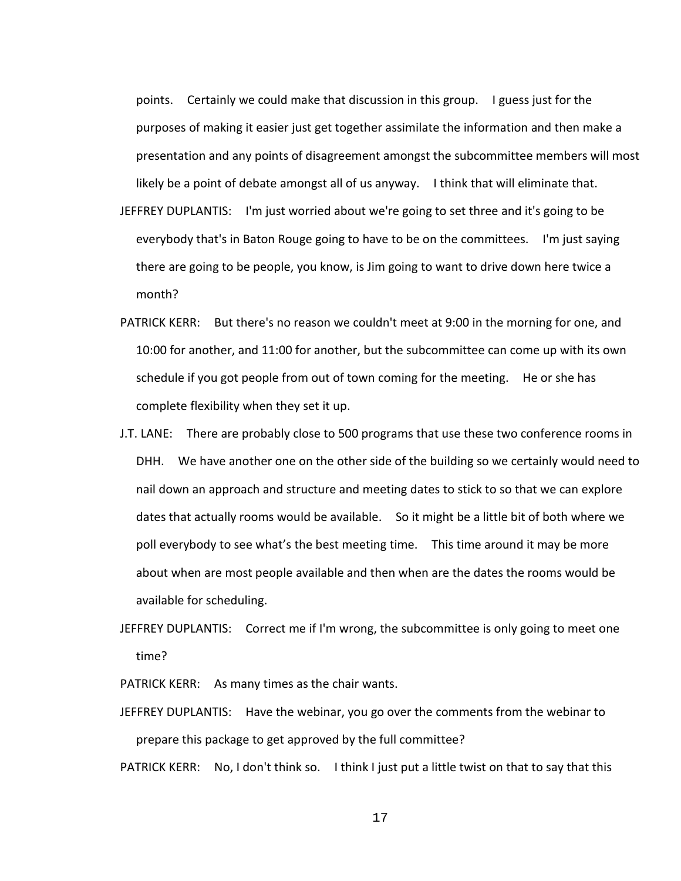points. Certainly we could make that discussion in this group. I guess just for the purposes of making it easier just get together assimilate the information and then make a presentation and any points of disagreement amongst the subcommittee members will most likely be a point of debate amongst all of us anyway. I think that will eliminate that.

- JEFFREY DUPLANTIS: I'm just worried about we're going to set three and it's going to be everybody that's in Baton Rouge going to have to be on the committees. I'm just saying there are going to be people, you know, is Jim going to want to drive down here twice a month?
- PATRICK KERR: But there's no reason we couldn't meet at 9:00 in the morning for one, and 10:00 for another, and 11:00 for another, but the subcommittee can come up with its own schedule if you got people from out of town coming for the meeting. He or she has complete flexibility when they set it up.
- J.T. LANE: There are probably close to 500 programs that use these two conference rooms in DHH. We have another one on the other side of the building so we certainly would need to nail down an approach and structure and meeting dates to stick to so that we can explore dates that actually rooms would be available. So it might be a little bit of both where we poll everybody to see what's the best meeting time. This time around it may be more about when are most people available and then when are the dates the rooms would be available for scheduling.
- JEFFREY DUPLANTIS: Correct me if I'm wrong, the subcommittee is only going to meet one time?

PATRICK KERR: As many times as the chair wants.

JEFFREY DUPLANTIS: Have the webinar, you go over the comments from the webinar to prepare this package to get approved by the full committee?

PATRICK KERR: No, I don't think so. I think I just put a little twist on that to say that this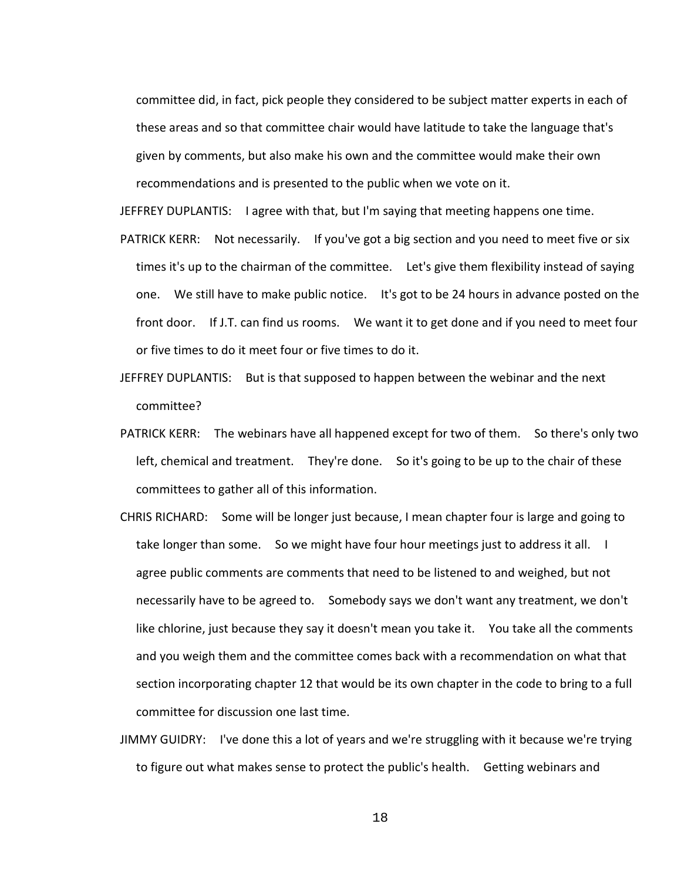committee did, in fact, pick people they considered to be subject matter experts in each of these areas and so that committee chair would have latitude to take the language that's given by comments, but also make his own and the committee would make their own recommendations and is presented to the public when we vote on it.

JEFFREY DUPLANTIS: I agree with that, but I'm saying that meeting happens one time.

- PATRICK KERR: Not necessarily. If you've got a big section and you need to meet five or six times it's up to the chairman of the committee. Let's give them flexibility instead of saying one. We still have to make public notice. It's got to be 24 hours in advance posted on the front door. If J.T. can find us rooms. We want it to get done and if you need to meet four or five times to do it meet four or five times to do it.
- JEFFREY DUPLANTIS: But is that supposed to happen between the webinar and the next committee?
- PATRICK KERR: The webinars have all happened except for two of them. So there's only two left, chemical and treatment. They're done. So it's going to be up to the chair of these committees to gather all of this information.
- CHRIS RICHARD: Some will be longer just because, I mean chapter four is large and going to take longer than some. So we might have four hour meetings just to address it all. I agree public comments are comments that need to be listened to and weighed, but not necessarily have to be agreed to. Somebody says we don't want any treatment, we don't like chlorine, just because they say it doesn't mean you take it. You take all the comments and you weigh them and the committee comes back with a recommendation on what that section incorporating chapter 12 that would be its own chapter in the code to bring to a full committee for discussion one last time.
- JIMMY GUIDRY: I've done this a lot of years and we're struggling with it because we're trying to figure out what makes sense to protect the public's health. Getting webinars and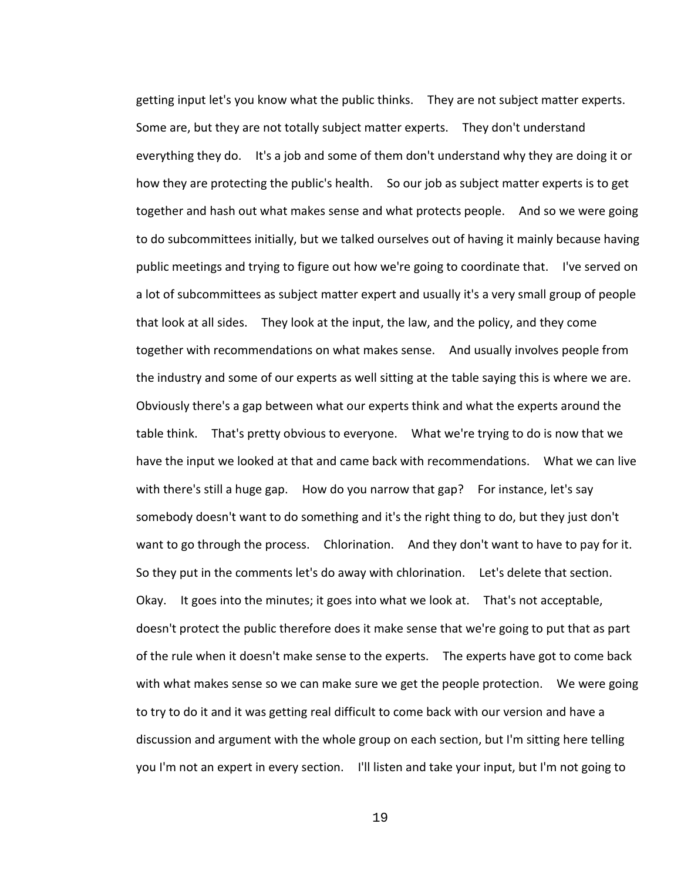getting input let's you know what the public thinks. They are not subject matter experts. Some are, but they are not totally subject matter experts. They don't understand everything they do. It's a job and some of them don't understand why they are doing it or how they are protecting the public's health. So our job as subject matter experts is to get together and hash out what makes sense and what protects people. And so we were going to do subcommittees initially, but we talked ourselves out of having it mainly because having public meetings and trying to figure out how we're going to coordinate that. I've served on a lot of subcommittees as subject matter expert and usually it's a very small group of people that look at all sides. They look at the input, the law, and the policy, and they come together with recommendations on what makes sense. And usually involves people from the industry and some of our experts as well sitting at the table saying this is where we are. Obviously there's a gap between what our experts think and what the experts around the table think. That's pretty obvious to everyone. What we're trying to do is now that we have the input we looked at that and came back with recommendations. What we can live with there's still a huge gap. How do you narrow that gap? For instance, let's say somebody doesn't want to do something and it's the right thing to do, but they just don't want to go through the process. Chlorination. And they don't want to have to pay for it. So they put in the comments let's do away with chlorination. Let's delete that section. Okay. It goes into the minutes; it goes into what we look at. That's not acceptable, doesn't protect the public therefore does it make sense that we're going to put that as part of the rule when it doesn't make sense to the experts. The experts have got to come back with what makes sense so we can make sure we get the people protection. We were going to try to do it and it was getting real difficult to come back with our version and have a discussion and argument with the whole group on each section, but I'm sitting here telling you I'm not an expert in every section. I'll listen and take your input, but I'm not going to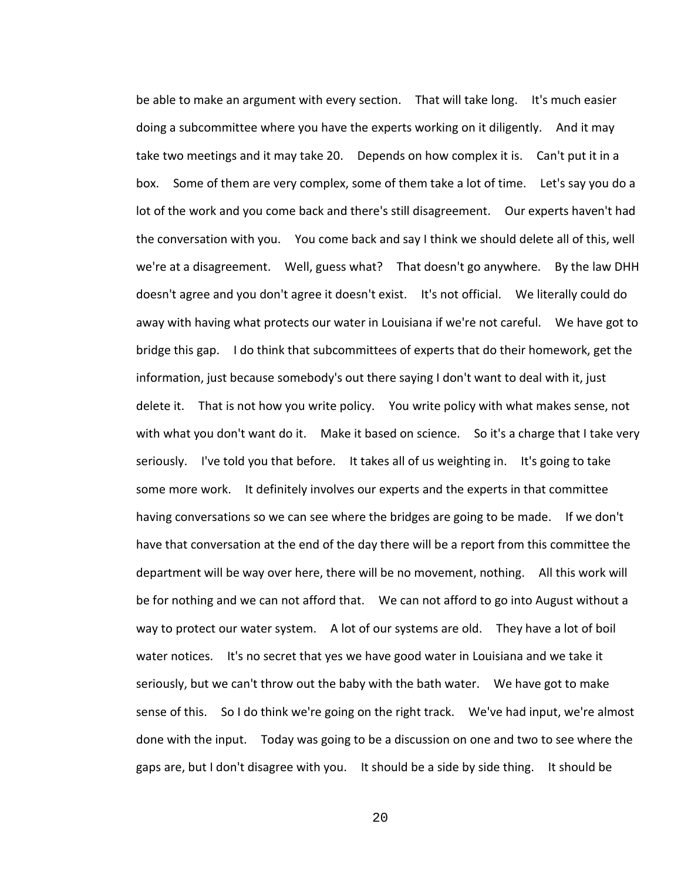be able to make an argument with every section. That will take long. It's much easier doing a subcommittee where you have the experts working on it diligently. And it may take two meetings and it may take 20. Depends on how complex it is. Can't put it in a box. Some of them are very complex, some of them take a lot of time. Let's say you do a lot of the work and you come back and there's still disagreement. Our experts haven't had the conversation with you. You come back and say I think we should delete all of this, well we're at a disagreement. Well, guess what? That doesn't go anywhere. By the law DHH doesn't agree and you don't agree it doesn't exist. It's not official. We literally could do away with having what protects our water in Louisiana if we're not careful. We have got to bridge this gap. I do think that subcommittees of experts that do their homework, get the information, just because somebody's out there saying I don't want to deal with it, just delete it. That is not how you write policy. You write policy with what makes sense, not with what you don't want do it. Make it based on science. So it's a charge that I take very seriously. I've told you that before. It takes all of us weighting in. It's going to take some more work. It definitely involves our experts and the experts in that committee having conversations so we can see where the bridges are going to be made. If we don't have that conversation at the end of the day there will be a report from this committee the department will be way over here, there will be no movement, nothing. All this work will be for nothing and we can not afford that. We can not afford to go into August without a way to protect our water system. A lot of our systems are old. They have a lot of boil water notices. It's no secret that yes we have good water in Louisiana and we take it seriously, but we can't throw out the baby with the bath water. We have got to make sense of this. So I do think we're going on the right track. We've had input, we're almost done with the input. Today was going to be a discussion on one and two to see where the gaps are, but I don't disagree with you. It should be a side by side thing. It should be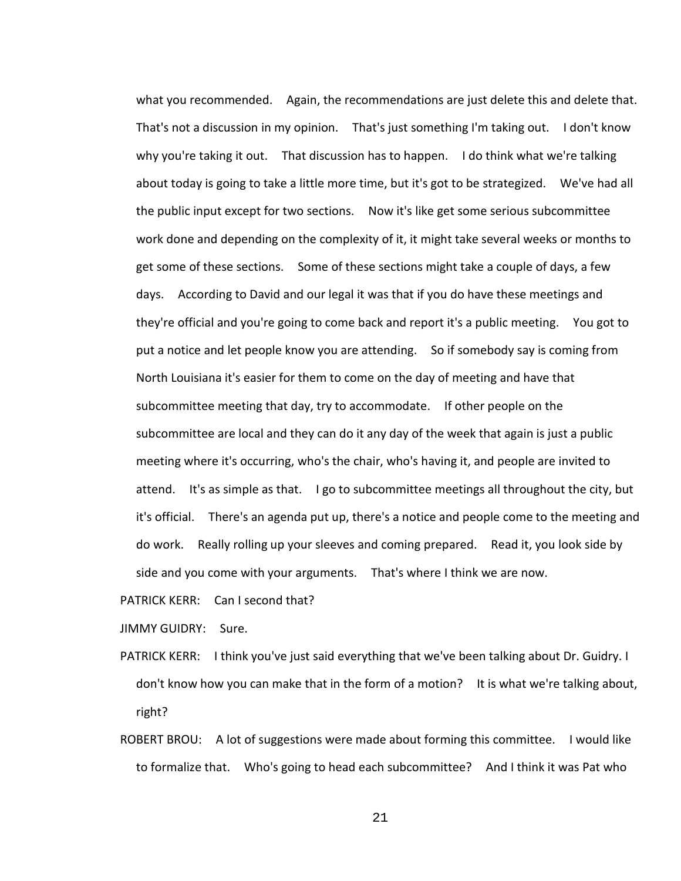what you recommended. Again, the recommendations are just delete this and delete that. That's not a discussion in my opinion. That's just something I'm taking out. I don't know why you're taking it out. That discussion has to happen. I do think what we're talking about today is going to take a little more time, but it's got to be strategized. We've had all the public input except for two sections. Now it's like get some serious subcommittee work done and depending on the complexity of it, it might take several weeks or months to get some of these sections. Some of these sections might take a couple of days, a few days. According to David and our legal it was that if you do have these meetings and they're official and you're going to come back and report it's a public meeting. You got to put a notice and let people know you are attending. So if somebody say is coming from North Louisiana it's easier for them to come on the day of meeting and have that subcommittee meeting that day, try to accommodate. If other people on the subcommittee are local and they can do it any day of the week that again is just a public meeting where it's occurring, who's the chair, who's having it, and people are invited to attend. It's as simple as that. I go to subcommittee meetings all throughout the city, but it's official. There's an agenda put up, there's a notice and people come to the meeting and do work. Really rolling up your sleeves and coming prepared. Read it, you look side by side and you come with your arguments. That's where I think we are now.

PATRICK KERR: Can I second that?

JIMMY GUIDRY: Sure.

- PATRICK KERR: I think you've just said everything that we've been talking about Dr. Guidry. I don't know how you can make that in the form of a motion? It is what we're talking about, right?
- ROBERT BROU: A lot of suggestions were made about forming this committee. I would like to formalize that. Who's going to head each subcommittee? And I think it was Pat who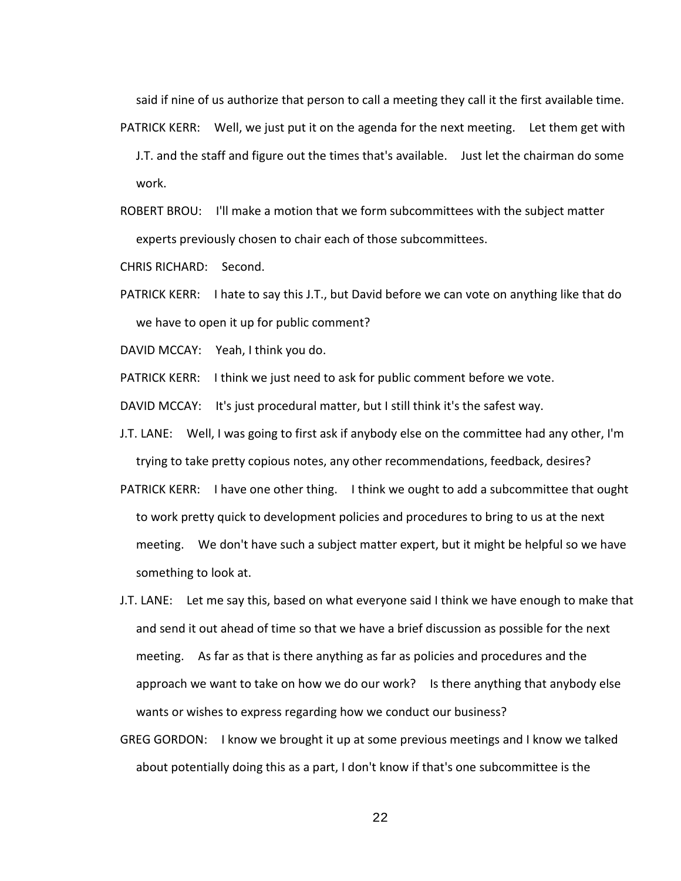said if nine of us authorize that person to call a meeting they call it the first available time.

- PATRICK KERR: Well, we just put it on the agenda for the next meeting. Let them get with J.T. and the staff and figure out the times that's available. Just let the chairman do some work.
- ROBERT BROU: I'll make a motion that we form subcommittees with the subject matter experts previously chosen to chair each of those subcommittees.

CHRIS RICHARD: Second.

PATRICK KERR: I hate to say this J.T., but David before we can vote on anything like that do we have to open it up for public comment?

DAVID MCCAY: Yeah, I think you do.

PATRICK KERR: I think we just need to ask for public comment before we vote.

DAVID MCCAY: It's just procedural matter, but I still think it's the safest way.

- J.T. LANE: Well, I was going to first ask if anybody else on the committee had any other, I'm trying to take pretty copious notes, any other recommendations, feedback, desires?
- PATRICK KERR: I have one other thing. I think we ought to add a subcommittee that ought to work pretty quick to development policies and procedures to bring to us at the next meeting. We don't have such a subject matter expert, but it might be helpful so we have something to look at.
- J.T. LANE: Let me say this, based on what everyone said I think we have enough to make that and send it out ahead of time so that we have a brief discussion as possible for the next meeting. As far as that is there anything as far as policies and procedures and the approach we want to take on how we do our work? Is there anything that anybody else wants or wishes to express regarding how we conduct our business?
- GREG GORDON: I know we brought it up at some previous meetings and I know we talked about potentially doing this as a part, I don't know if that's one subcommittee is the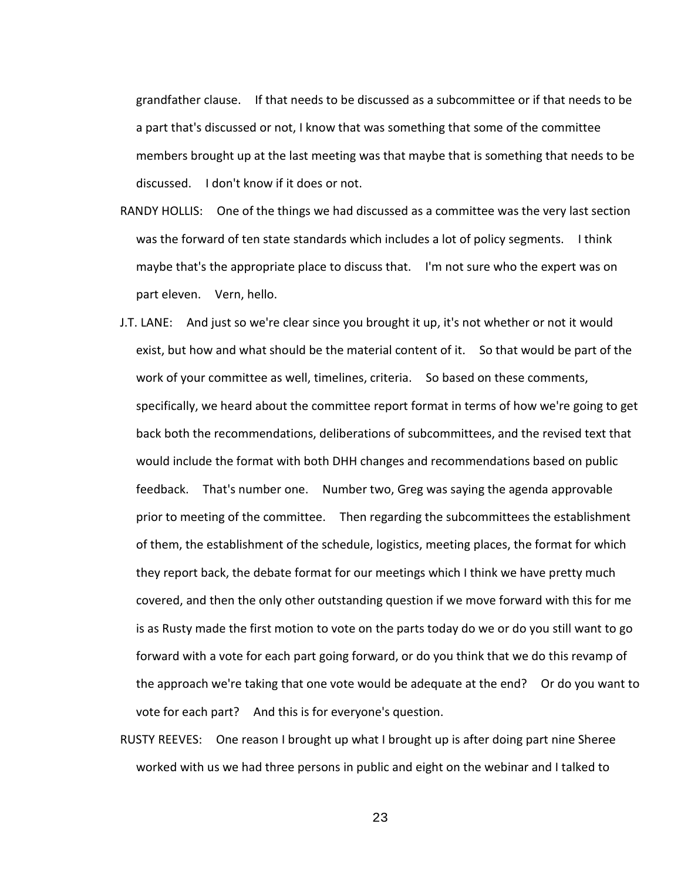grandfather clause. If that needs to be discussed as a subcommittee or if that needs to be a part that's discussed or not, I know that was something that some of the committee members brought up at the last meeting was that maybe that is something that needs to be discussed. I don't know if it does or not.

- RANDY HOLLIS: One of the things we had discussed as a committee was the very last section was the forward of ten state standards which includes a lot of policy segments. I think maybe that's the appropriate place to discuss that. I'm not sure who the expert was on part eleven. Vern, hello.
- J.T. LANE: And just so we're clear since you brought it up, it's not whether or not it would exist, but how and what should be the material content of it. So that would be part of the work of your committee as well, timelines, criteria. So based on these comments, specifically, we heard about the committee report format in terms of how we're going to get back both the recommendations, deliberations of subcommittees, and the revised text that would include the format with both DHH changes and recommendations based on public feedback. That's number one. Number two, Greg was saying the agenda approvable prior to meeting of the committee. Then regarding the subcommittees the establishment of them, the establishment of the schedule, logistics, meeting places, the format for which they report back, the debate format for our meetings which I think we have pretty much covered, and then the only other outstanding question if we move forward with this for me is as Rusty made the first motion to vote on the parts today do we or do you still want to go forward with a vote for each part going forward, or do you think that we do this revamp of the approach we're taking that one vote would be adequate at the end? Or do you want to vote for each part? And this is for everyone's question.
- RUSTY REEVES: One reason I brought up what I brought up is after doing part nine Sheree worked with us we had three persons in public and eight on the webinar and I talked to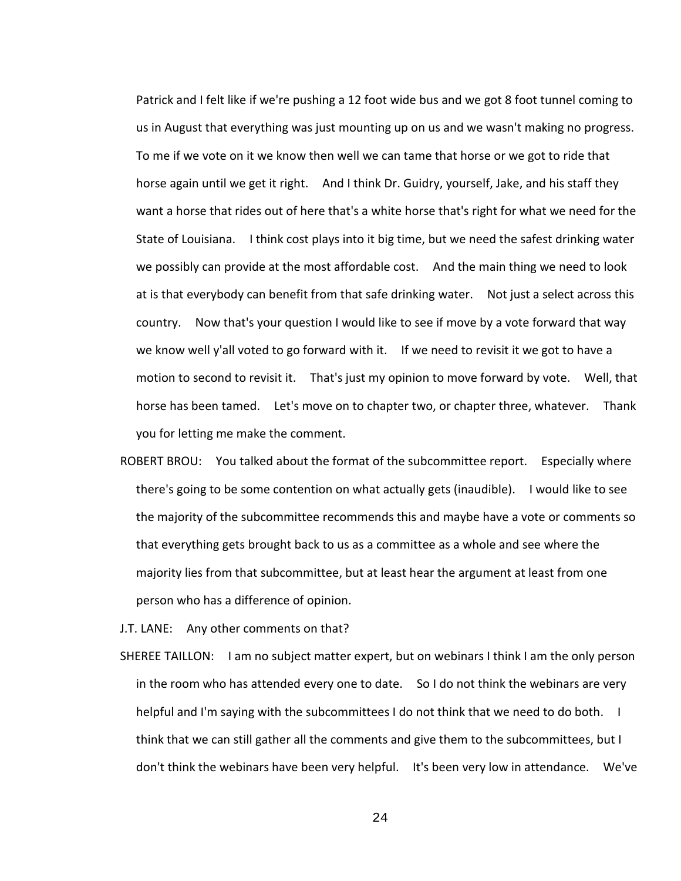Patrick and I felt like if we're pushing a 12 foot wide bus and we got 8 foot tunnel coming to us in August that everything was just mounting up on us and we wasn't making no progress. To me if we vote on it we know then well we can tame that horse or we got to ride that horse again until we get it right. And I think Dr. Guidry, yourself, Jake, and his staff they want a horse that rides out of here that's a white horse that's right for what we need for the State of Louisiana. I think cost plays into it big time, but we need the safest drinking water we possibly can provide at the most affordable cost. And the main thing we need to look at is that everybody can benefit from that safe drinking water. Not just a select across this country. Now that's your question I would like to see if move by a vote forward that way we know well y'all voted to go forward with it. If we need to revisit it we got to have a motion to second to revisit it. That's just my opinion to move forward by vote. Well, that horse has been tamed. Let's move on to chapter two, or chapter three, whatever. Thank you for letting me make the comment.

ROBERT BROU: You talked about the format of the subcommittee report. Especially where there's going to be some contention on what actually gets (inaudible). I would like to see the majority of the subcommittee recommends this and maybe have a vote or comments so that everything gets brought back to us as a committee as a whole and see where the majority lies from that subcommittee, but at least hear the argument at least from one person who has a difference of opinion.

J.T. LANE: Any other comments on that?

SHEREE TAILLON: I am no subject matter expert, but on webinars I think I am the only person in the room who has attended every one to date. So I do not think the webinars are very helpful and I'm saying with the subcommittees I do not think that we need to do both. I think that we can still gather all the comments and give them to the subcommittees, but I don't think the webinars have been very helpful. It's been very low in attendance. We've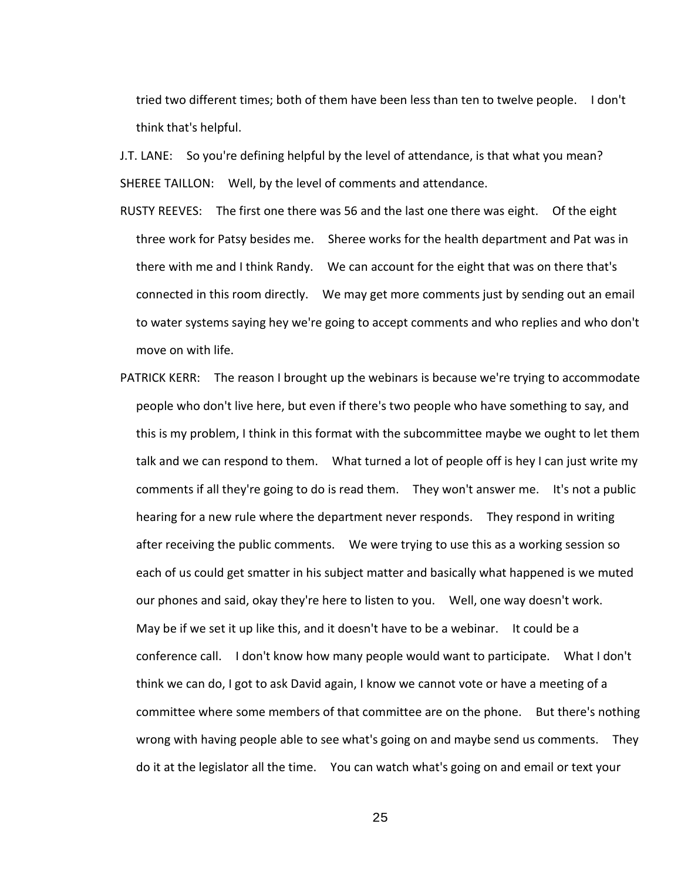tried two different times; both of them have been less than ten to twelve people. I don't think that's helpful.

J.T. LANE: So you're defining helpful by the level of attendance, is that what you mean? SHEREE TAILLON: Well, by the level of comments and attendance.

- RUSTY REEVES: The first one there was 56 and the last one there was eight. Of the eight three work for Patsy besides me. Sheree works for the health department and Pat was in there with me and I think Randy. We can account for the eight that was on there that's connected in this room directly. We may get more comments just by sending out an email to water systems saying hey we're going to accept comments and who replies and who don't move on with life.
- PATRICK KERR: The reason I brought up the webinars is because we're trying to accommodate people who don't live here, but even if there's two people who have something to say, and this is my problem, I think in this format with the subcommittee maybe we ought to let them talk and we can respond to them. What turned a lot of people off is hey I can just write my comments if all they're going to do is read them. They won't answer me. It's not a public hearing for a new rule where the department never responds. They respond in writing after receiving the public comments. We were trying to use this as a working session so each of us could get smatter in his subject matter and basically what happened is we muted our phones and said, okay they're here to listen to you. Well, one way doesn't work. May be if we set it up like this, and it doesn't have to be a webinar. It could be a conference call. I don't know how many people would want to participate. What I don't think we can do, I got to ask David again, I know we cannot vote or have a meeting of a committee where some members of that committee are on the phone. But there's nothing wrong with having people able to see what's going on and maybe send us comments. They do it at the legislator all the time. You can watch what's going on and email or text your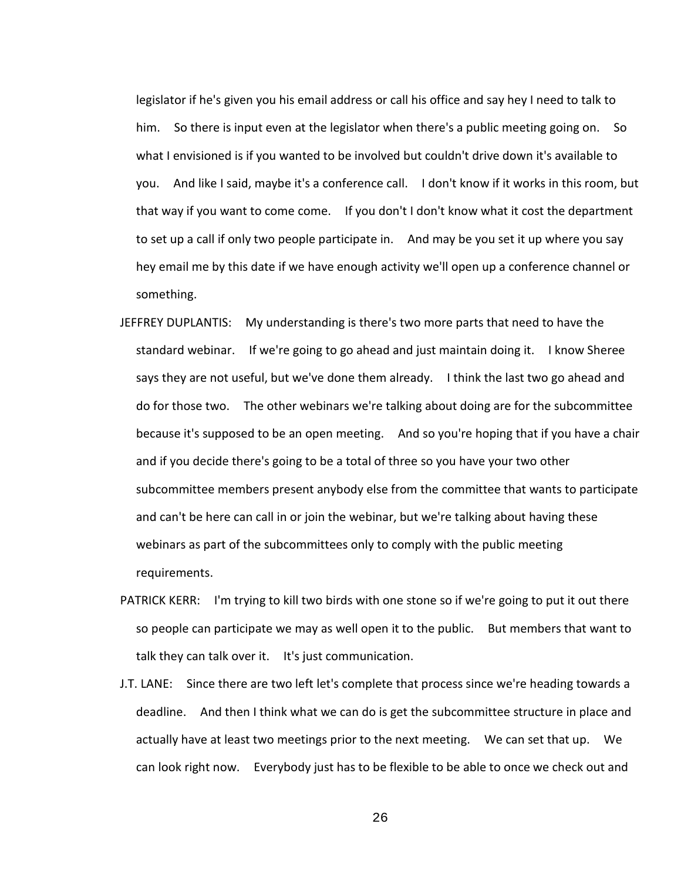legislator if he's given you his email address or call his office and say hey I need to talk to him. So there is input even at the legislator when there's a public meeting going on. So what I envisioned is if you wanted to be involved but couldn't drive down it's available to you. And like I said, maybe it's a conference call. I don't know if it works in this room, but that way if you want to come come. If you don't I don't know what it cost the department to set up a call if only two people participate in. And may be you set it up where you say hey email me by this date if we have enough activity we'll open up a conference channel or something.

- JEFFREY DUPLANTIS: My understanding is there's two more parts that need to have the standard webinar. If we're going to go ahead and just maintain doing it. I know Sheree says they are not useful, but we've done them already. I think the last two go ahead and do for those two. The other webinars we're talking about doing are for the subcommittee because it's supposed to be an open meeting. And so you're hoping that if you have a chair and if you decide there's going to be a total of three so you have your two other subcommittee members present anybody else from the committee that wants to participate and can't be here can call in or join the webinar, but we're talking about having these webinars as part of the subcommittees only to comply with the public meeting requirements.
- PATRICK KERR: I'm trying to kill two birds with one stone so if we're going to put it out there so people can participate we may as well open it to the public. But members that want to talk they can talk over it. It's just communication.
- J.T. LANE: Since there are two left let's complete that process since we're heading towards a deadline. And then I think what we can do is get the subcommittee structure in place and actually have at least two meetings prior to the next meeting. We can set that up. We can look right now. Everybody just has to be flexible to be able to once we check out and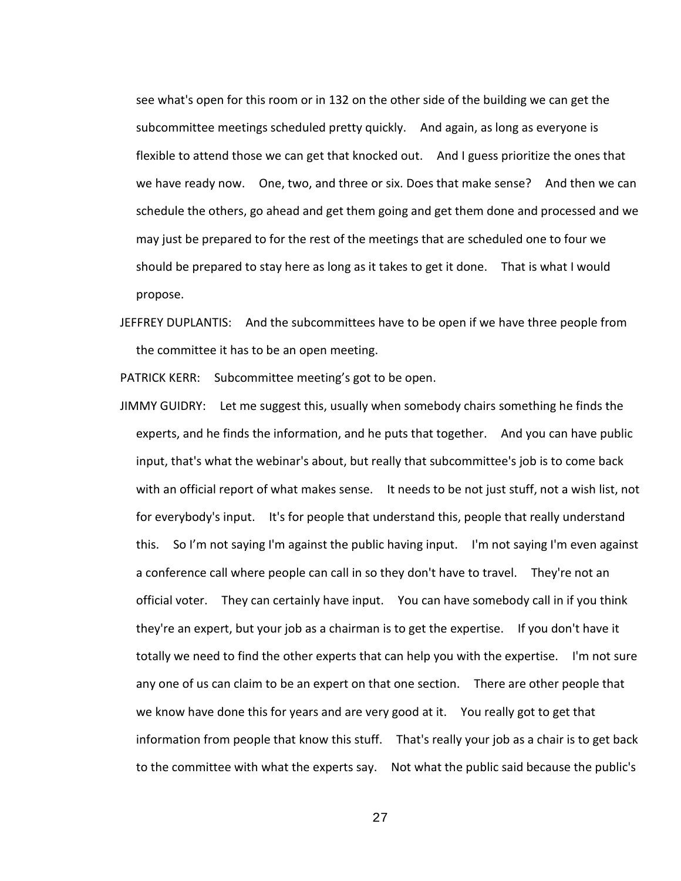see what's open for this room or in 132 on the other side of the building we can get the subcommittee meetings scheduled pretty quickly. And again, as long as everyone is flexible to attend those we can get that knocked out. And I guess prioritize the ones that we have ready now. One, two, and three or six. Does that make sense? And then we can schedule the others, go ahead and get them going and get them done and processed and we may just be prepared to for the rest of the meetings that are scheduled one to four we should be prepared to stay here as long as it takes to get it done. That is what I would propose.

JEFFREY DUPLANTIS: And the subcommittees have to be open if we have three people from the committee it has to be an open meeting.

PATRICK KERR: Subcommittee meeting's got to be open.

JIMMY GUIDRY: Let me suggest this, usually when somebody chairs something he finds the experts, and he finds the information, and he puts that together. And you can have public input, that's what the webinar's about, but really that subcommittee's job is to come back with an official report of what makes sense. It needs to be not just stuff, not a wish list, not for everybody's input. It's for people that understand this, people that really understand this. So I'm not saying I'm against the public having input. I'm not saying I'm even against a conference call where people can call in so they don't have to travel. They're not an official voter. They can certainly have input. You can have somebody call in if you think they're an expert, but your job as a chairman is to get the expertise. If you don't have it totally we need to find the other experts that can help you with the expertise. I'm not sure any one of us can claim to be an expert on that one section. There are other people that we know have done this for years and are very good at it. You really got to get that information from people that know this stuff. That's really your job as a chair is to get back to the committee with what the experts say. Not what the public said because the public's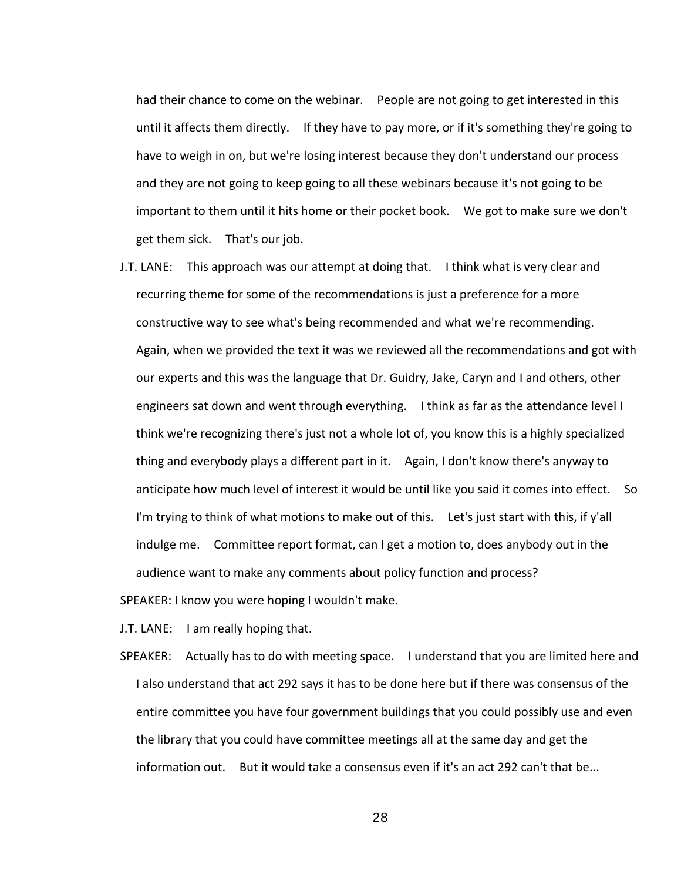had their chance to come on the webinar. People are not going to get interested in this until it affects them directly. If they have to pay more, or if it's something they're going to have to weigh in on, but we're losing interest because they don't understand our process and they are not going to keep going to all these webinars because it's not going to be important to them until it hits home or their pocket book. We got to make sure we don't get them sick. That's our job.

J.T. LANE: This approach was our attempt at doing that. I think what is very clear and recurring theme for some of the recommendations is just a preference for a more constructive way to see what's being recommended and what we're recommending. Again, when we provided the text it was we reviewed all the recommendations and got with our experts and this was the language that Dr. Guidry, Jake, Caryn and I and others, other engineers sat down and went through everything. I think as far as the attendance level I think we're recognizing there's just not a whole lot of, you know this is a highly specialized thing and everybody plays a different part in it. Again, I don't know there's anyway to anticipate how much level of interest it would be until like you said it comes into effect. So I'm trying to think of what motions to make out of this. Let's just start with this, if y'all indulge me. Committee report format, can I get a motion to, does anybody out in the audience want to make any comments about policy function and process?

SPEAKER: I know you were hoping I wouldn't make.

J.T. LANE: I am really hoping that.

SPEAKER: Actually has to do with meeting space. I understand that you are limited here and I also understand that act 292 says it has to be done here but if there was consensus of the entire committee you have four government buildings that you could possibly use and even the library that you could have committee meetings all at the same day and get the information out. But it would take a consensus even if it's an act 292 can't that be...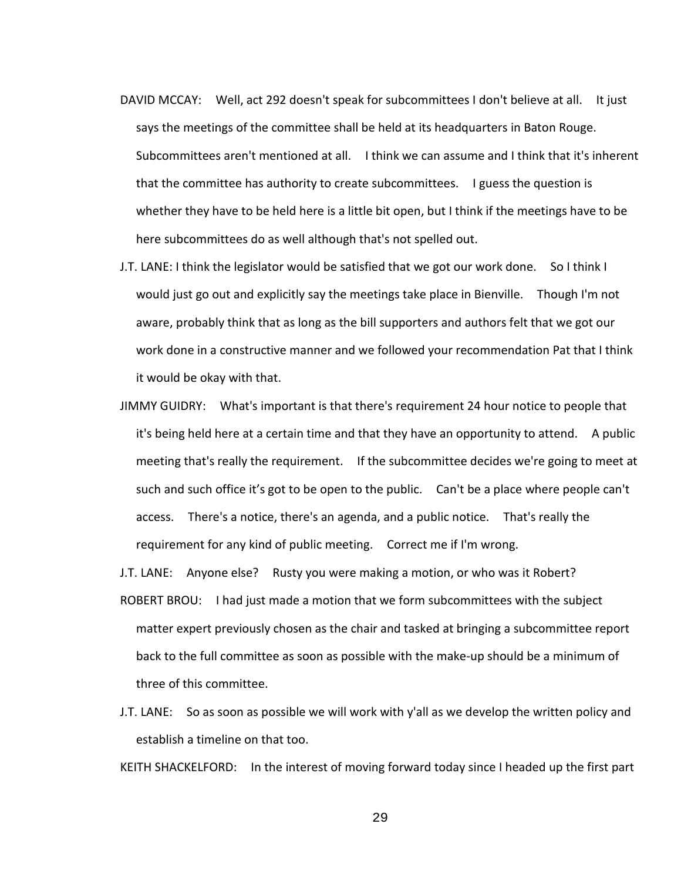- DAVID MCCAY: Well, act 292 doesn't speak for subcommittees I don't believe at all. It just says the meetings of the committee shall be held at its headquarters in Baton Rouge. Subcommittees aren't mentioned at all. I think we can assume and I think that it's inherent that the committee has authority to create subcommittees. I guess the question is whether they have to be held here is a little bit open, but I think if the meetings have to be here subcommittees do as well although that's not spelled out.
- J.T. LANE: I think the legislator would be satisfied that we got our work done. So I think I would just go out and explicitly say the meetings take place in Bienville. Though I'm not aware, probably think that as long as the bill supporters and authors felt that we got our work done in a constructive manner and we followed your recommendation Pat that I think it would be okay with that.
- JIMMY GUIDRY: What's important is that there's requirement 24 hour notice to people that it's being held here at a certain time and that they have an opportunity to attend. A public meeting that's really the requirement. If the subcommittee decides we're going to meet at such and such office it's got to be open to the public. Can't be a place where people can't access. There's a notice, there's an agenda, and a public notice. That's really the requirement for any kind of public meeting. Correct me if I'm wrong.

J.T. LANE: Anyone else? Rusty you were making a motion, or who was it Robert?

- ROBERT BROU: I had just made a motion that we form subcommittees with the subject matter expert previously chosen as the chair and tasked at bringing a subcommittee report back to the full committee as soon as possible with the make-up should be a minimum of three of this committee.
- J.T. LANE: So as soon as possible we will work with y'all as we develop the written policy and establish a timeline on that too.

KEITH SHACKELFORD: In the interest of moving forward today since I headed up the first part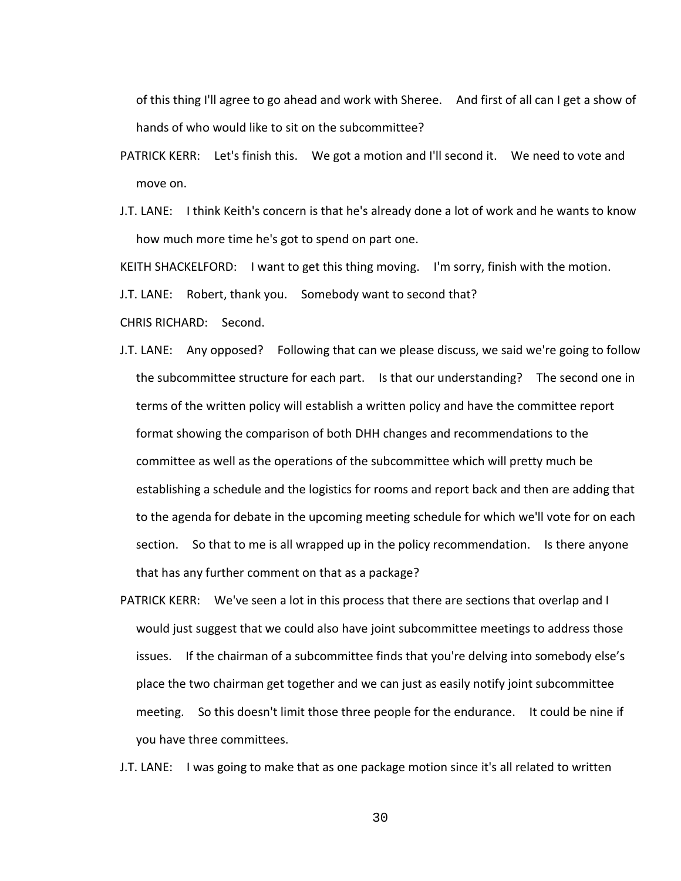of this thing I'll agree to go ahead and work with Sheree. And first of all can I get a show of hands of who would like to sit on the subcommittee?

- PATRICK KERR: Let's finish this. We got a motion and I'll second it. We need to vote and move on.
- J.T. LANE: I think Keith's concern is that he's already done a lot of work and he wants to know how much more time he's got to spend on part one.

KEITH SHACKELFORD: I want to get this thing moving. I'm sorry, finish with the motion.

J.T. LANE: Robert, thank you. Somebody want to second that?

CHRIS RICHARD: Second.

- J.T. LANE: Any opposed? Following that can we please discuss, we said we're going to follow the subcommittee structure for each part. Is that our understanding? The second one in terms of the written policy will establish a written policy and have the committee report format showing the comparison of both DHH changes and recommendations to the committee as well as the operations of the subcommittee which will pretty much be establishing a schedule and the logistics for rooms and report back and then are adding that to the agenda for debate in the upcoming meeting schedule for which we'll vote for on each section. So that to me is all wrapped up in the policy recommendation. Is there anyone that has any further comment on that as a package?
- PATRICK KERR: We've seen a lot in this process that there are sections that overlap and I would just suggest that we could also have joint subcommittee meetings to address those issues. If the chairman of a subcommittee finds that you're delving into somebody else's place the two chairman get together and we can just as easily notify joint subcommittee meeting. So this doesn't limit those three people for the endurance. It could be nine if you have three committees.

J.T. LANE: I was going to make that as one package motion since it's all related to written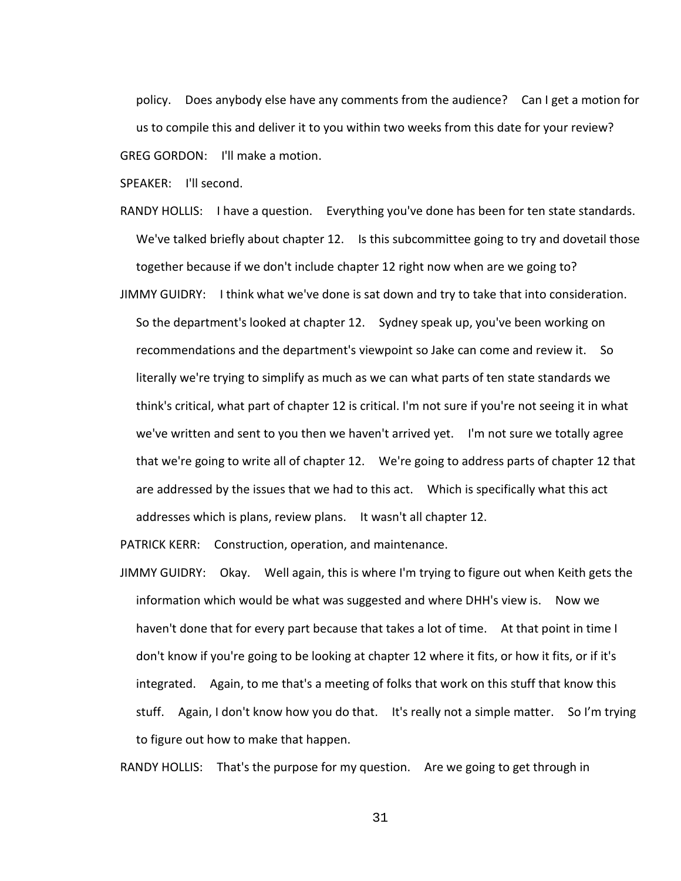policy. Does anybody else have any comments from the audience? Can I get a motion for us to compile this and deliver it to you within two weeks from this date for your review? GREG GORDON: I'll make a motion.

SPEAKER: I'll second.

- RANDY HOLLIS: I have a question. Everything you've done has been for ten state standards. We've talked briefly about chapter 12. Is this subcommittee going to try and dovetail those together because if we don't include chapter 12 right now when are we going to?
- JIMMY GUIDRY: I think what we've done is sat down and try to take that into consideration. So the department's looked at chapter 12. Sydney speak up, you've been working on recommendations and the department's viewpoint so Jake can come and review it. So literally we're trying to simplify as much as we can what parts of ten state standards we think's critical, what part of chapter 12 is critical. I'm not sure if you're not seeing it in what we've written and sent to you then we haven't arrived yet. I'm not sure we totally agree that we're going to write all of chapter 12. We're going to address parts of chapter 12 that are addressed by the issues that we had to this act. Which is specifically what this act addresses which is plans, review plans. It wasn't all chapter 12.

PATRICK KERR: Construction, operation, and maintenance.

JIMMY GUIDRY: Okay. Well again, this is where I'm trying to figure out when Keith gets the information which would be what was suggested and where DHH's view is. Now we haven't done that for every part because that takes a lot of time. At that point in time I don't know if you're going to be looking at chapter 12 where it fits, or how it fits, or if it's integrated. Again, to me that's a meeting of folks that work on this stuff that know this stuff. Again, I don't know how you do that. It's really not a simple matter. So I'm trying to figure out how to make that happen.

RANDY HOLLIS: That's the purpose for my question. Are we going to get through in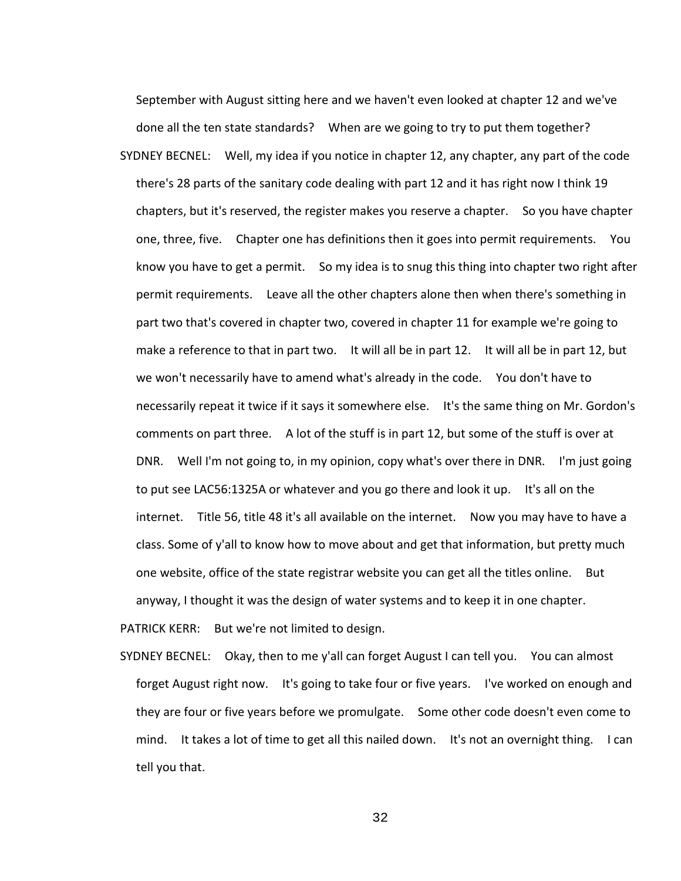September with August sitting here and we haven't even looked at chapter 12 and we've done all the ten state standards? When are we going to try to put them together? SYDNEY BECNEL: Well, my idea if you notice in chapter 12, any chapter, any part of the code there's 28 parts of the sanitary code dealing with part 12 and it has right now I think 19 chapters, but it's reserved, the register makes you reserve a chapter. So you have chapter one, three, five. Chapter one has definitions then it goes into permit requirements. You know you have to get a permit. So my idea is to snug this thing into chapter two right after permit requirements. Leave all the other chapters alone then when there's something in part two that's covered in chapter two, covered in chapter 11 for example we're going to make a reference to that in part two. It will all be in part 12. It will all be in part 12, but we won't necessarily have to amend what's already in the code. You don't have to necessarily repeat it twice if it says it somewhere else. It's the same thing on Mr. Gordon's comments on part three. A lot of the stuff is in part 12, but some of the stuff is over at DNR. Well I'm not going to, in my opinion, copy what's over there in DNR. I'm just going to put see LAC56:1325A or whatever and you go there and look it up. It's all on the internet. Title 56, title 48 it's all available on the internet. Now you may have to have a class. Some of y'all to know how to move about and get that information, but pretty much one website, office of the state registrar website you can get all the titles online. But anyway, I thought it was the design of water systems and to keep it in one chapter. PATRICK KERR: But we're not limited to design.

SYDNEY BECNEL: Okay, then to me y'all can forget August I can tell you. You can almost forget August right now. It's going to take four or five years. I've worked on enough and they are four or five years before we promulgate. Some other code doesn't even come to mind. It takes a lot of time to get all this nailed down. It's not an overnight thing. I can tell you that.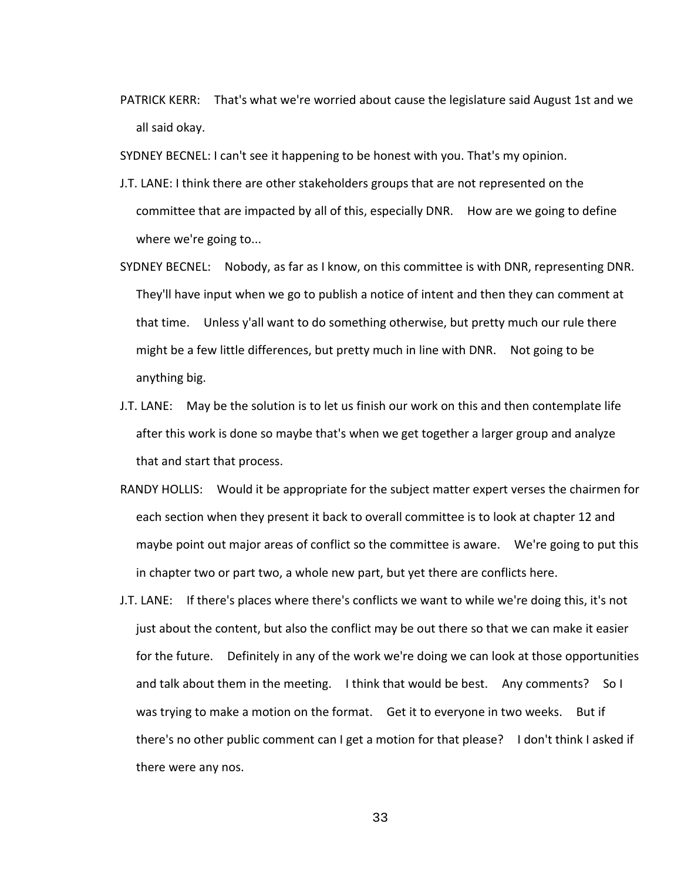PATRICK KERR: That's what we're worried about cause the legislature said August 1st and we all said okay.

SYDNEY BECNEL: I can't see it happening to be honest with you. That's my opinion.

- J.T. LANE: I think there are other stakeholders groups that are not represented on the committee that are impacted by all of this, especially DNR. How are we going to define where we're going to...
- SYDNEY BECNEL: Nobody, as far as I know, on this committee is with DNR, representing DNR. They'll have input when we go to publish a notice of intent and then they can comment at that time. Unless y'all want to do something otherwise, but pretty much our rule there might be a few little differences, but pretty much in line with DNR. Not going to be anything big.
- J.T. LANE: May be the solution is to let us finish our work on this and then contemplate life after this work is done so maybe that's when we get together a larger group and analyze that and start that process.
- RANDY HOLLIS: Would it be appropriate for the subject matter expert verses the chairmen for each section when they present it back to overall committee is to look at chapter 12 and maybe point out major areas of conflict so the committee is aware. We're going to put this in chapter two or part two, a whole new part, but yet there are conflicts here.
- J.T. LANE: If there's places where there's conflicts we want to while we're doing this, it's not just about the content, but also the conflict may be out there so that we can make it easier for the future. Definitely in any of the work we're doing we can look at those opportunities and talk about them in the meeting. I think that would be best. Any comments? So I was trying to make a motion on the format. Get it to everyone in two weeks. But if there's no other public comment can I get a motion for that please? I don't think I asked if there were any nos.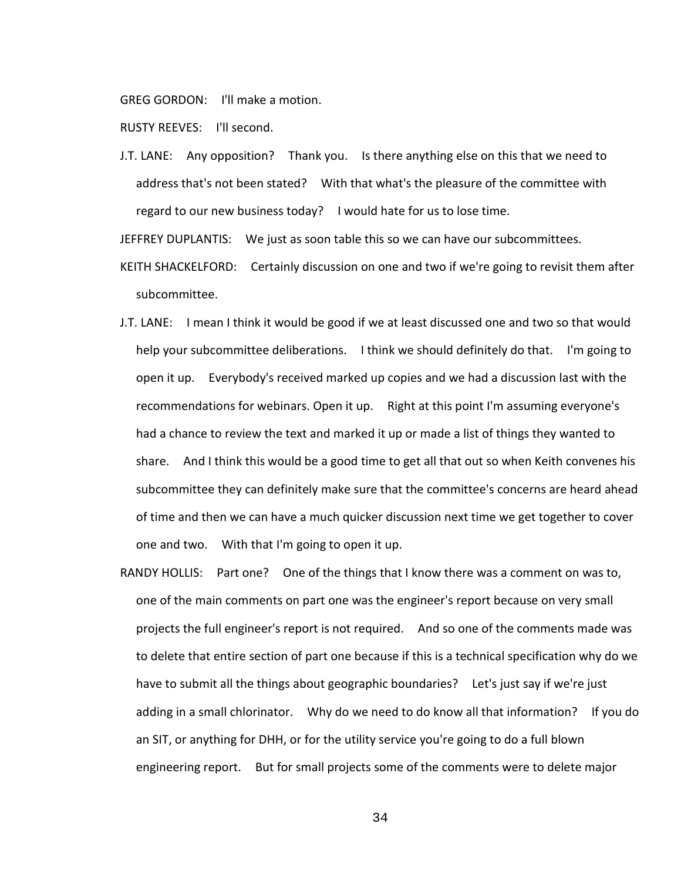GREG GORDON: I'll make a motion.

RUSTY REEVES: I'll second.

J.T. LANE: Any opposition? Thank you. Is there anything else on this that we need to address that's not been stated? With that what's the pleasure of the committee with regard to our new business today? I would hate for us to lose time.

JEFFREY DUPLANTIS: We just as soon table this so we can have our subcommittees.

- KEITH SHACKELFORD: Certainly discussion on one and two if we're going to revisit them after subcommittee.
- J.T. LANE: I mean I think it would be good if we at least discussed one and two so that would help your subcommittee deliberations. I think we should definitely do that. I'm going to open it up. Everybody's received marked up copies and we had a discussion last with the recommendations for webinars. Open it up. Right at this point I'm assuming everyone's had a chance to review the text and marked it up or made a list of things they wanted to share. And I think this would be a good time to get all that out so when Keith convenes his subcommittee they can definitely make sure that the committee's concerns are heard ahead of time and then we can have a much quicker discussion next time we get together to cover one and two. With that I'm going to open it up.
- RANDY HOLLIS: Part one? One of the things that I know there was a comment on was to, one of the main comments on part one was the engineer's report because on very small projects the full engineer's report is not required. And so one of the comments made was to delete that entire section of part one because if this is a technical specification why do we have to submit all the things about geographic boundaries? Let's just say if we're just adding in a small chlorinator. Why do we need to do know all that information? If you do an SIT, or anything for DHH, or for the utility service you're going to do a full blown engineering report. But for small projects some of the comments were to delete major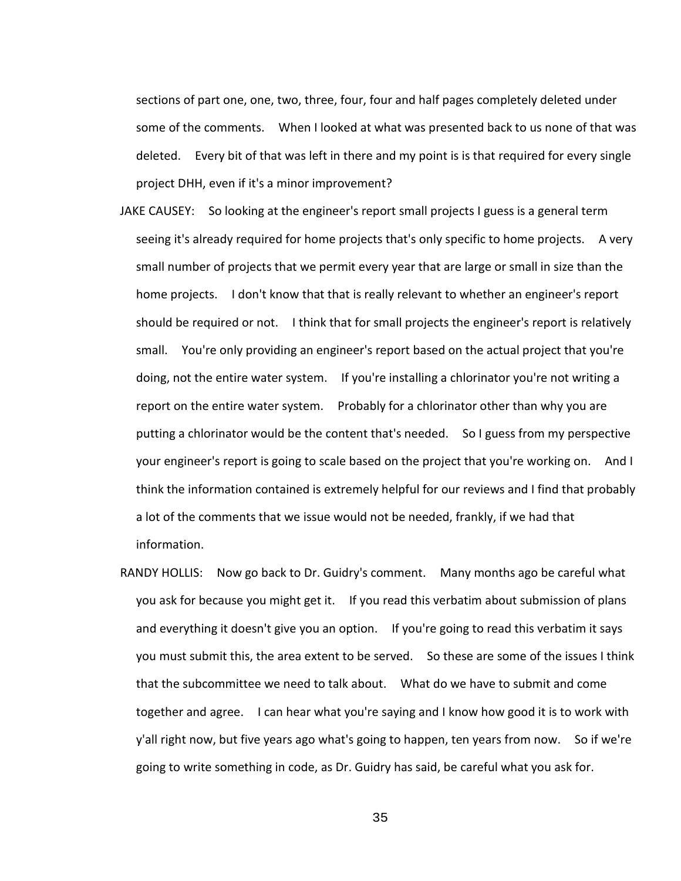sections of part one, one, two, three, four, four and half pages completely deleted under some of the comments. When I looked at what was presented back to us none of that was deleted. Every bit of that was left in there and my point is is that required for every single project DHH, even if it's a minor improvement?

- JAKE CAUSEY: So looking at the engineer's report small projects I guess is a general term seeing it's already required for home projects that's only specific to home projects. A very small number of projects that we permit every year that are large or small in size than the home projects. I don't know that that is really relevant to whether an engineer's report should be required or not. I think that for small projects the engineer's report is relatively small. You're only providing an engineer's report based on the actual project that you're doing, not the entire water system. If you're installing a chlorinator you're not writing a report on the entire water system. Probably for a chlorinator other than why you are putting a chlorinator would be the content that's needed. So I guess from my perspective your engineer's report is going to scale based on the project that you're working on. And I think the information contained is extremely helpful for our reviews and I find that probably a lot of the comments that we issue would not be needed, frankly, if we had that information.
- RANDY HOLLIS: Now go back to Dr. Guidry's comment. Many months ago be careful what you ask for because you might get it. If you read this verbatim about submission of plans and everything it doesn't give you an option. If you're going to read this verbatim it says you must submit this, the area extent to be served. So these are some of the issues I think that the subcommittee we need to talk about. What do we have to submit and come together and agree. I can hear what you're saying and I know how good it is to work with y'all right now, but five years ago what's going to happen, ten years from now. So if we're going to write something in code, as Dr. Guidry has said, be careful what you ask for.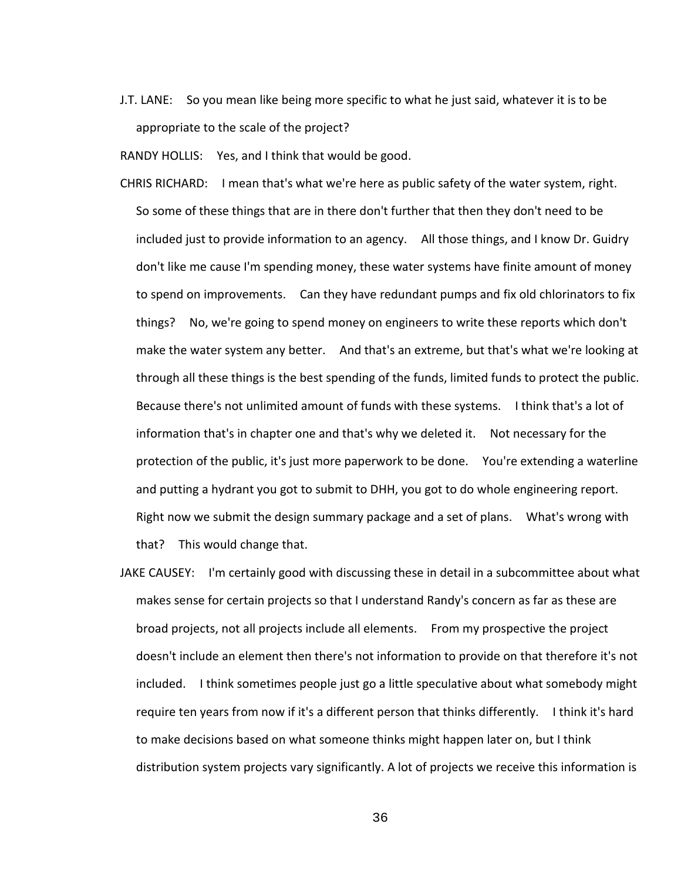J.T. LANE: So you mean like being more specific to what he just said, whatever it is to be appropriate to the scale of the project?

RANDY HOLLIS: Yes, and I think that would be good.

- CHRIS RICHARD: I mean that's what we're here as public safety of the water system, right. So some of these things that are in there don't further that then they don't need to be included just to provide information to an agency. All those things, and I know Dr. Guidry don't like me cause I'm spending money, these water systems have finite amount of money to spend on improvements. Can they have redundant pumps and fix old chlorinators to fix things? No, we're going to spend money on engineers to write these reports which don't make the water system any better. And that's an extreme, but that's what we're looking at through all these things is the best spending of the funds, limited funds to protect the public. Because there's not unlimited amount of funds with these systems. I think that's a lot of information that's in chapter one and that's why we deleted it. Not necessary for the protection of the public, it's just more paperwork to be done. You're extending a waterline and putting a hydrant you got to submit to DHH, you got to do whole engineering report. Right now we submit the design summary package and a set of plans. What's wrong with that? This would change that.
- JAKE CAUSEY: I'm certainly good with discussing these in detail in a subcommittee about what makes sense for certain projects so that I understand Randy's concern as far as these are broad projects, not all projects include all elements. From my prospective the project doesn't include an element then there's not information to provide on that therefore it's not included. I think sometimes people just go a little speculative about what somebody might require ten years from now if it's a different person that thinks differently. I think it's hard to make decisions based on what someone thinks might happen later on, but I think distribution system projects vary significantly. A lot of projects we receive this information is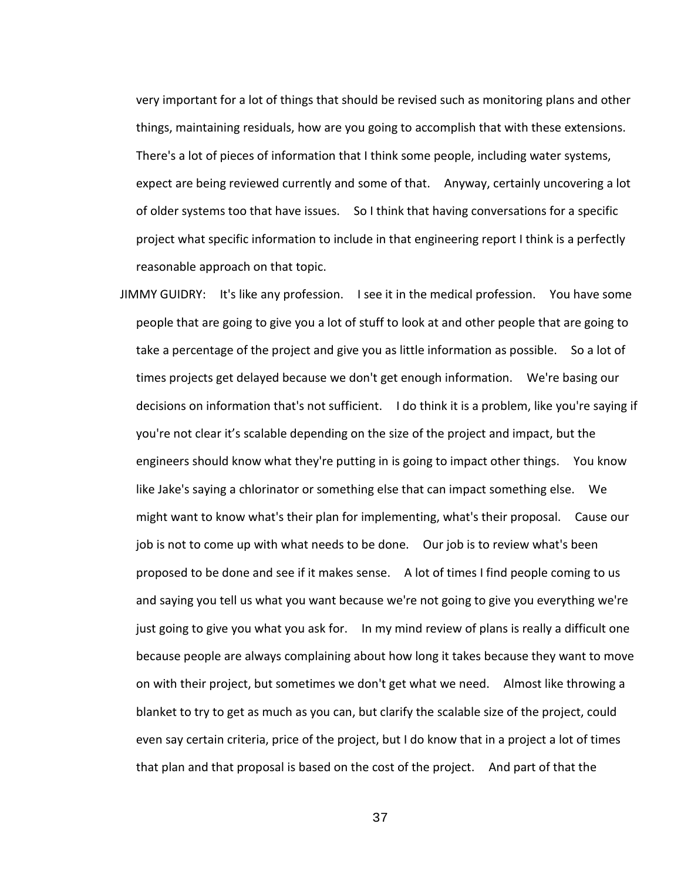very important for a lot of things that should be revised such as monitoring plans and other things, maintaining residuals, how are you going to accomplish that with these extensions. There's a lot of pieces of information that I think some people, including water systems, expect are being reviewed currently and some of that. Anyway, certainly uncovering a lot of older systems too that have issues. So I think that having conversations for a specific project what specific information to include in that engineering report I think is a perfectly reasonable approach on that topic.

JIMMY GUIDRY: It's like any profession. I see it in the medical profession. You have some people that are going to give you a lot of stuff to look at and other people that are going to take a percentage of the project and give you as little information as possible. So a lot of times projects get delayed because we don't get enough information. We're basing our decisions on information that's not sufficient. I do think it is a problem, like you're saying if you're not clear it's scalable depending on the size of the project and impact, but the engineers should know what they're putting in is going to impact other things. You know like Jake's saying a chlorinator or something else that can impact something else. We might want to know what's their plan for implementing, what's their proposal. Cause our job is not to come up with what needs to be done. Our job is to review what's been proposed to be done and see if it makes sense. A lot of times I find people coming to us and saying you tell us what you want because we're not going to give you everything we're just going to give you what you ask for. In my mind review of plans is really a difficult one because people are always complaining about how long it takes because they want to move on with their project, but sometimes we don't get what we need. Almost like throwing a blanket to try to get as much as you can, but clarify the scalable size of the project, could even say certain criteria, price of the project, but I do know that in a project a lot of times that plan and that proposal is based on the cost of the project. And part of that the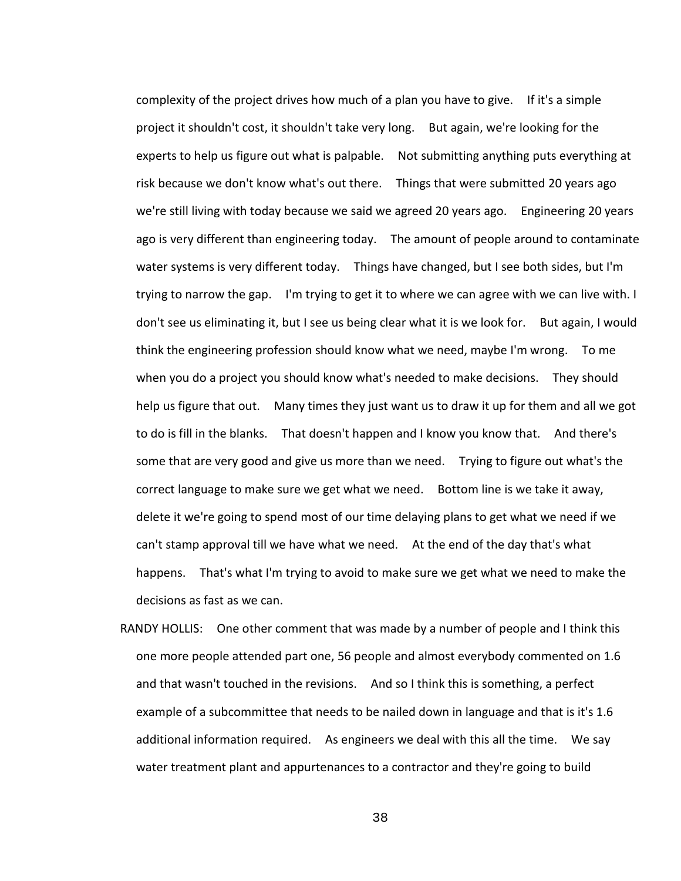complexity of the project drives how much of a plan you have to give. If it's a simple project it shouldn't cost, it shouldn't take very long. But again, we're looking for the experts to help us figure out what is palpable. Not submitting anything puts everything at risk because we don't know what's out there. Things that were submitted 20 years ago we're still living with today because we said we agreed 20 years ago. Engineering 20 years ago is very different than engineering today. The amount of people around to contaminate water systems is very different today. Things have changed, but I see both sides, but I'm trying to narrow the gap. I'm trying to get it to where we can agree with we can live with. I don't see us eliminating it, but I see us being clear what it is we look for. But again, I would think the engineering profession should know what we need, maybe I'm wrong. To me when you do a project you should know what's needed to make decisions. They should help us figure that out. Many times they just want us to draw it up for them and all we got to do is fill in the blanks. That doesn't happen and I know you know that. And there's some that are very good and give us more than we need. Trying to figure out what's the correct language to make sure we get what we need. Bottom line is we take it away, delete it we're going to spend most of our time delaying plans to get what we need if we can't stamp approval till we have what we need. At the end of the day that's what happens. That's what I'm trying to avoid to make sure we get what we need to make the decisions as fast as we can.

RANDY HOLLIS: One other comment that was made by a number of people and I think this one more people attended part one, 56 people and almost everybody commented on 1.6 and that wasn't touched in the revisions. And so I think this is something, a perfect example of a subcommittee that needs to be nailed down in language and that is it's 1.6 additional information required. As engineers we deal with this all the time. We say water treatment plant and appurtenances to a contractor and they're going to build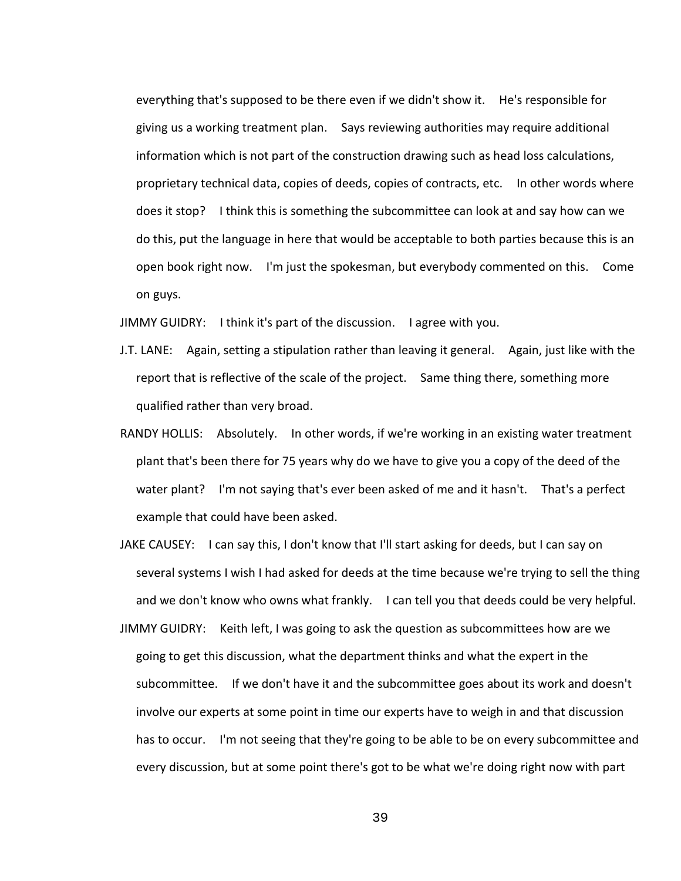everything that's supposed to be there even if we didn't show it. He's responsible for giving us a working treatment plan. Says reviewing authorities may require additional information which is not part of the construction drawing such as head loss calculations, proprietary technical data, copies of deeds, copies of contracts, etc. In other words where does it stop? I think this is something the subcommittee can look at and say how can we do this, put the language in here that would be acceptable to both parties because this is an open book right now. I'm just the spokesman, but everybody commented on this. Come on guys.

JIMMY GUIDRY: I think it's part of the discussion. I agree with you.

- J.T. LANE: Again, setting a stipulation rather than leaving it general. Again, just like with the report that is reflective of the scale of the project. Same thing there, something more qualified rather than very broad.
- RANDY HOLLIS: Absolutely. In other words, if we're working in an existing water treatment plant that's been there for 75 years why do we have to give you a copy of the deed of the water plant? I'm not saying that's ever been asked of me and it hasn't. That's a perfect example that could have been asked.
- JAKE CAUSEY: I can say this, I don't know that I'll start asking for deeds, but I can say on several systems I wish I had asked for deeds at the time because we're trying to sell the thing and we don't know who owns what frankly. I can tell you that deeds could be very helpful.
- JIMMY GUIDRY: Keith left, I was going to ask the question as subcommittees how are we going to get this discussion, what the department thinks and what the expert in the subcommittee. If we don't have it and the subcommittee goes about its work and doesn't involve our experts at some point in time our experts have to weigh in and that discussion has to occur. I'm not seeing that they're going to be able to be on every subcommittee and every discussion, but at some point there's got to be what we're doing right now with part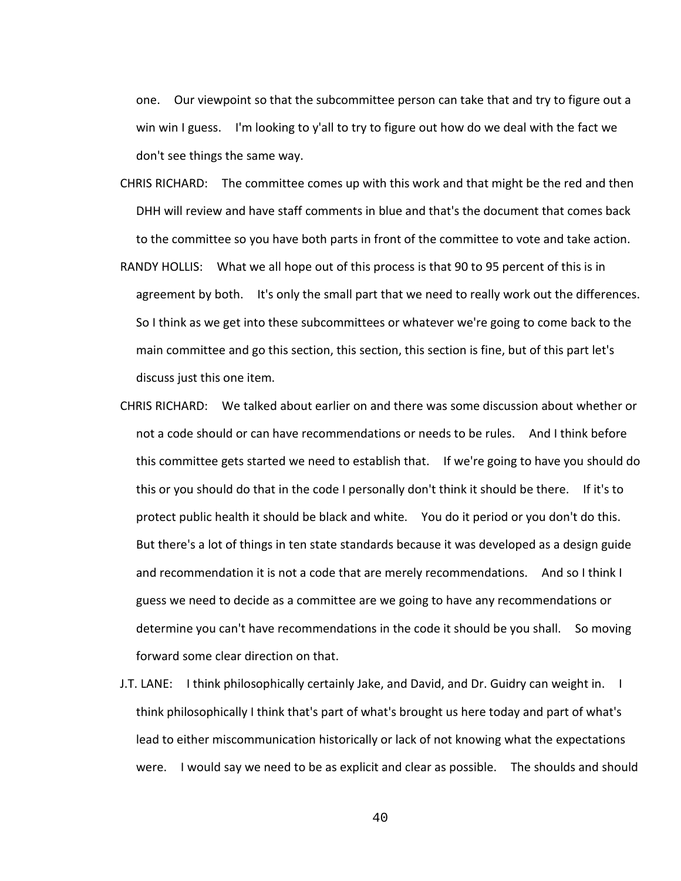one. Our viewpoint so that the subcommittee person can take that and try to figure out a win win I guess. I'm looking to y'all to try to figure out how do we deal with the fact we don't see things the same way.

- CHRIS RICHARD: The committee comes up with this work and that might be the red and then DHH will review and have staff comments in blue and that's the document that comes back to the committee so you have both parts in front of the committee to vote and take action.
- RANDY HOLLIS: What we all hope out of this process is that 90 to 95 percent of this is in agreement by both. It's only the small part that we need to really work out the differences. So I think as we get into these subcommittees or whatever we're going to come back to the main committee and go this section, this section, this section is fine, but of this part let's discuss just this one item.
- CHRIS RICHARD: We talked about earlier on and there was some discussion about whether or not a code should or can have recommendations or needs to be rules. And I think before this committee gets started we need to establish that. If we're going to have you should do this or you should do that in the code I personally don't think it should be there. If it's to protect public health it should be black and white. You do it period or you don't do this. But there's a lot of things in ten state standards because it was developed as a design guide and recommendation it is not a code that are merely recommendations. And so I think I guess we need to decide as a committee are we going to have any recommendations or determine you can't have recommendations in the code it should be you shall. So moving forward some clear direction on that.
- J.T. LANE: I think philosophically certainly Jake, and David, and Dr. Guidry can weight in. I think philosophically I think that's part of what's brought us here today and part of what's lead to either miscommunication historically or lack of not knowing what the expectations were. I would say we need to be as explicit and clear as possible. The shoulds and should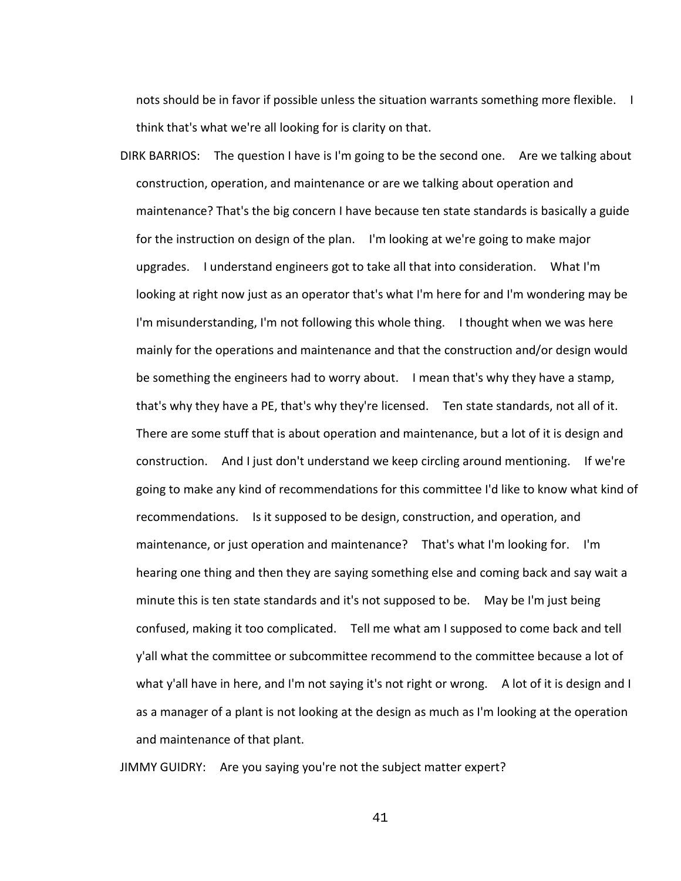nots should be in favor if possible unless the situation warrants something more flexible. I think that's what we're all looking for is clarity on that.

DIRK BARRIOS: The question I have is I'm going to be the second one. Are we talking about construction, operation, and maintenance or are we talking about operation and maintenance? That's the big concern I have because ten state standards is basically a guide for the instruction on design of the plan. I'm looking at we're going to make major upgrades. I understand engineers got to take all that into consideration. What I'm looking at right now just as an operator that's what I'm here for and I'm wondering may be I'm misunderstanding, I'm not following this whole thing. I thought when we was here mainly for the operations and maintenance and that the construction and/or design would be something the engineers had to worry about. I mean that's why they have a stamp, that's why they have a PE, that's why they're licensed. Ten state standards, not all of it. There are some stuff that is about operation and maintenance, but a lot of it is design and construction. And I just don't understand we keep circling around mentioning. If we're going to make any kind of recommendations for this committee I'd like to know what kind of recommendations. Is it supposed to be design, construction, and operation, and maintenance, or just operation and maintenance? That's what I'm looking for. I'm hearing one thing and then they are saying something else and coming back and say wait a minute this is ten state standards and it's not supposed to be. May be I'm just being confused, making it too complicated. Tell me what am I supposed to come back and tell y'all what the committee or subcommittee recommend to the committee because a lot of what y'all have in here, and I'm not saying it's not right or wrong. A lot of it is design and I as a manager of a plant is not looking at the design as much as I'm looking at the operation and maintenance of that plant.

JIMMY GUIDRY: Are you saying you're not the subject matter expert?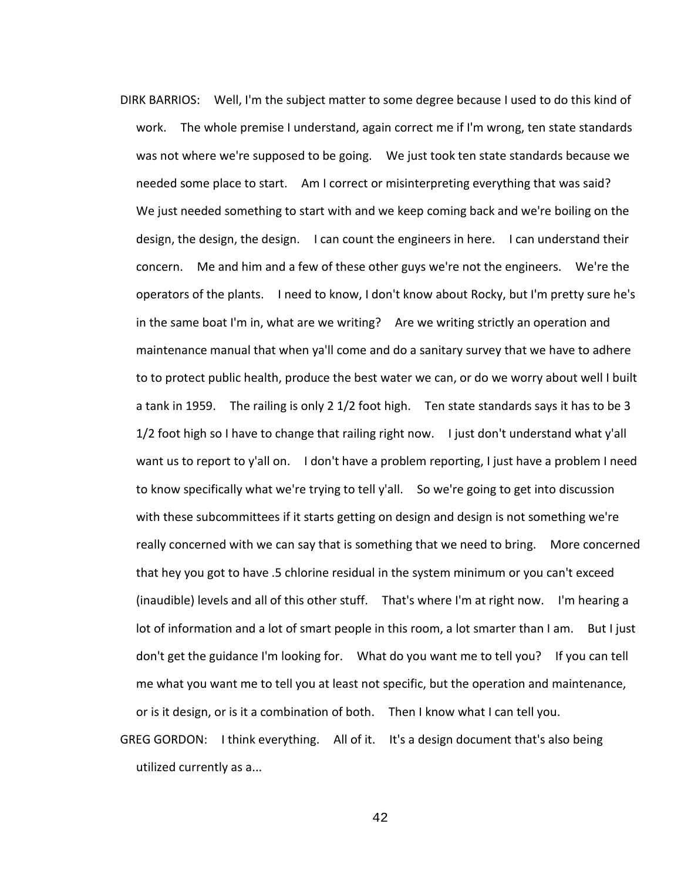- DIRK BARRIOS: Well, I'm the subject matter to some degree because I used to do this kind of work. The whole premise I understand, again correct me if I'm wrong, ten state standards was not where we're supposed to be going. We just took ten state standards because we needed some place to start. Am I correct or misinterpreting everything that was said? We just needed something to start with and we keep coming back and we're boiling on the design, the design, the design. I can count the engineers in here. I can understand their concern. Me and him and a few of these other guys we're not the engineers. We're the operators of the plants. I need to know, I don't know about Rocky, but I'm pretty sure he's in the same boat I'm in, what are we writing? Are we writing strictly an operation and maintenance manual that when ya'll come and do a sanitary survey that we have to adhere to to protect public health, produce the best water we can, or do we worry about well I built a tank in 1959. The railing is only 2 1/2 foot high. Ten state standards says it has to be 3 1/2 foot high so I have to change that railing right now. I just don't understand what y'all want us to report to y'all on. I don't have a problem reporting, I just have a problem I need to know specifically what we're trying to tell y'all. So we're going to get into discussion with these subcommittees if it starts getting on design and design is not something we're really concerned with we can say that is something that we need to bring. More concerned that hey you got to have .5 chlorine residual in the system minimum or you can't exceed (inaudible) levels and all of this other stuff. That's where I'm at right now. I'm hearing a lot of information and a lot of smart people in this room, a lot smarter than I am. But I just don't get the guidance I'm looking for. What do you want me to tell you? If you can tell me what you want me to tell you at least not specific, but the operation and maintenance, or is it design, or is it a combination of both. Then I know what I can tell you.
- GREG GORDON: I think everything. All of it. It's a design document that's also being utilized currently as a...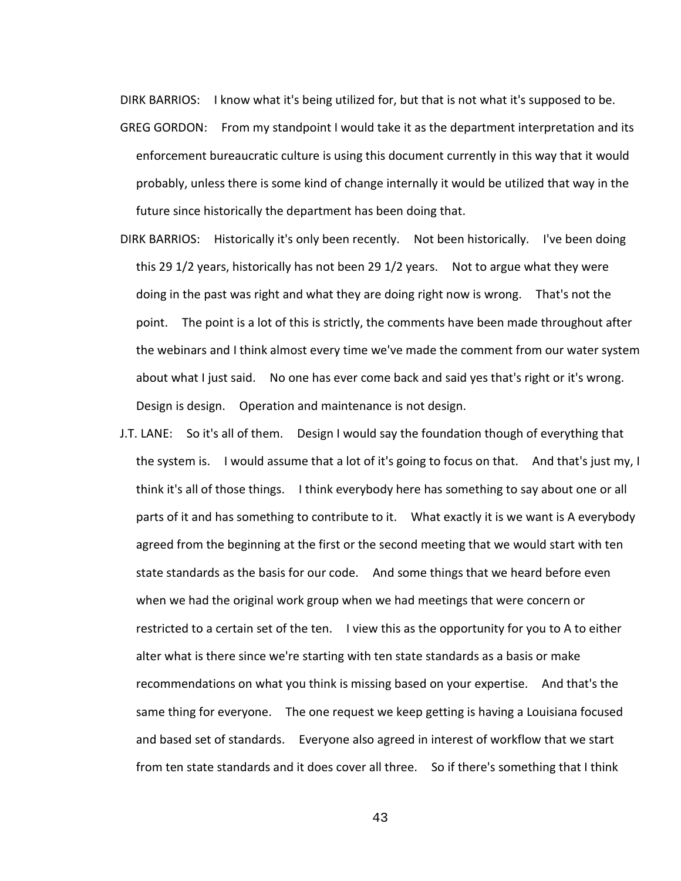DIRK BARRIOS: I know what it's being utilized for, but that is not what it's supposed to be.

- GREG GORDON: From my standpoint I would take it as the department interpretation and its enforcement bureaucratic culture is using this document currently in this way that it would probably, unless there is some kind of change internally it would be utilized that way in the future since historically the department has been doing that.
- DIRK BARRIOS: Historically it's only been recently. Not been historically. I've been doing this 29 1/2 years, historically has not been 29 1/2 years. Not to argue what they were doing in the past was right and what they are doing right now is wrong. That's not the point. The point is a lot of this is strictly, the comments have been made throughout after the webinars and I think almost every time we've made the comment from our water system about what I just said. No one has ever come back and said yes that's right or it's wrong. Design is design. Operation and maintenance is not design.
- J.T. LANE: So it's all of them. Design I would say the foundation though of everything that the system is. I would assume that a lot of it's going to focus on that. And that's just my, I think it's all of those things. I think everybody here has something to say about one or all parts of it and has something to contribute to it. What exactly it is we want is A everybody agreed from the beginning at the first or the second meeting that we would start with ten state standards as the basis for our code. And some things that we heard before even when we had the original work group when we had meetings that were concern or restricted to a certain set of the ten. I view this as the opportunity for you to A to either alter what is there since we're starting with ten state standards as a basis or make recommendations on what you think is missing based on your expertise. And that's the same thing for everyone. The one request we keep getting is having a Louisiana focused and based set of standards. Everyone also agreed in interest of workflow that we start from ten state standards and it does cover all three. So if there's something that I think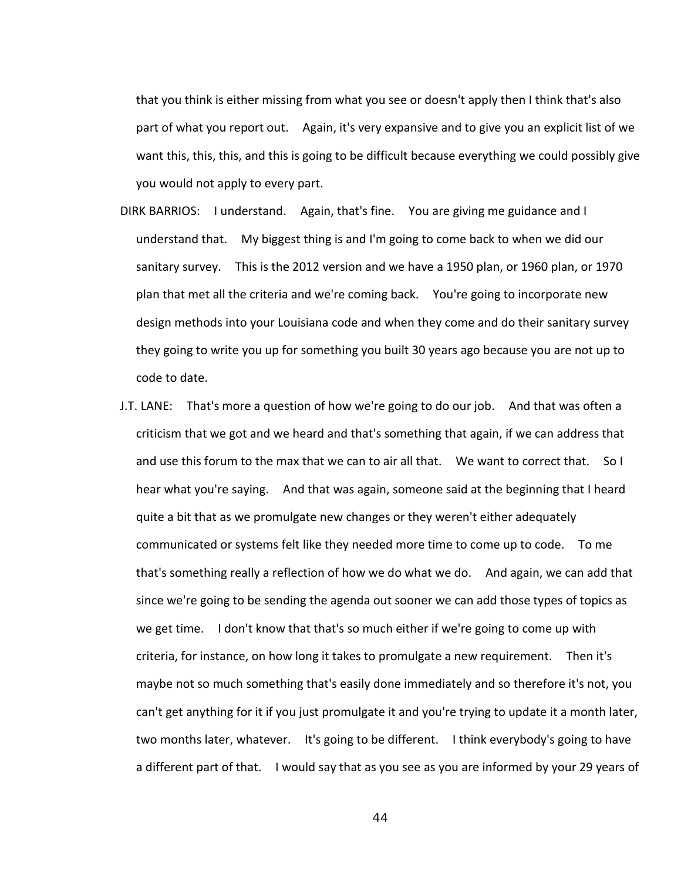that you think is either missing from what you see or doesn't apply then I think that's also part of what you report out. Again, it's very expansive and to give you an explicit list of we want this, this, this, and this is going to be difficult because everything we could possibly give you would not apply to every part.

- DIRK BARRIOS: I understand. Again, that's fine. You are giving me guidance and I understand that. My biggest thing is and I'm going to come back to when we did our sanitary survey. This is the 2012 version and we have a 1950 plan, or 1960 plan, or 1970 plan that met all the criteria and we're coming back. You're going to incorporate new design methods into your Louisiana code and when they come and do their sanitary survey they going to write you up for something you built 30 years ago because you are not up to code to date.
- J.T. LANE: That's more a question of how we're going to do our job. And that was often a criticism that we got and we heard and that's something that again, if we can address that and use this forum to the max that we can to air all that. We want to correct that. So I hear what you're saying. And that was again, someone said at the beginning that I heard quite a bit that as we promulgate new changes or they weren't either adequately communicated or systems felt like they needed more time to come up to code. To me that's something really a reflection of how we do what we do. And again, we can add that since we're going to be sending the agenda out sooner we can add those types of topics as we get time. I don't know that that's so much either if we're going to come up with criteria, for instance, on how long it takes to promulgate a new requirement. Then it's maybe not so much something that's easily done immediately and so therefore it's not, you can't get anything for it if you just promulgate it and you're trying to update it a month later, two months later, whatever. It's going to be different. I think everybody's going to have a different part of that. I would say that as you see as you are informed by your 29 years of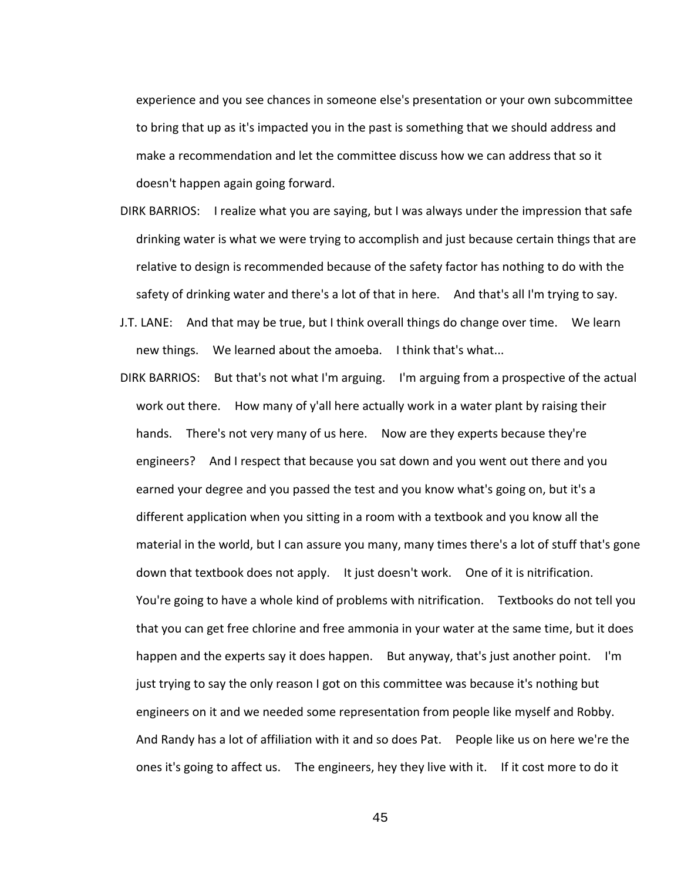experience and you see chances in someone else's presentation or your own subcommittee to bring that up as it's impacted you in the past is something that we should address and make a recommendation and let the committee discuss how we can address that so it doesn't happen again going forward.

- DIRK BARRIOS: I realize what you are saying, but I was always under the impression that safe drinking water is what we were trying to accomplish and just because certain things that are relative to design is recommended because of the safety factor has nothing to do with the safety of drinking water and there's a lot of that in here. And that's all I'm trying to say.
- J.T. LANE: And that may be true, but I think overall things do change over time. We learn new things. We learned about the amoeba. I think that's what...
- DIRK BARRIOS: But that's not what I'm arguing. I'm arguing from a prospective of the actual work out there. How many of y'all here actually work in a water plant by raising their hands. There's not very many of us here. Now are they experts because they're engineers? And I respect that because you sat down and you went out there and you earned your degree and you passed the test and you know what's going on, but it's a different application when you sitting in a room with a textbook and you know all the material in the world, but I can assure you many, many times there's a lot of stuff that's gone down that textbook does not apply. It just doesn't work. One of it is nitrification. You're going to have a whole kind of problems with nitrification. Textbooks do not tell you that you can get free chlorine and free ammonia in your water at the same time, but it does happen and the experts say it does happen. But anyway, that's just another point. I'm just trying to say the only reason I got on this committee was because it's nothing but engineers on it and we needed some representation from people like myself and Robby. And Randy has a lot of affiliation with it and so does Pat. People like us on here we're the ones it's going to affect us. The engineers, hey they live with it. If it cost more to do it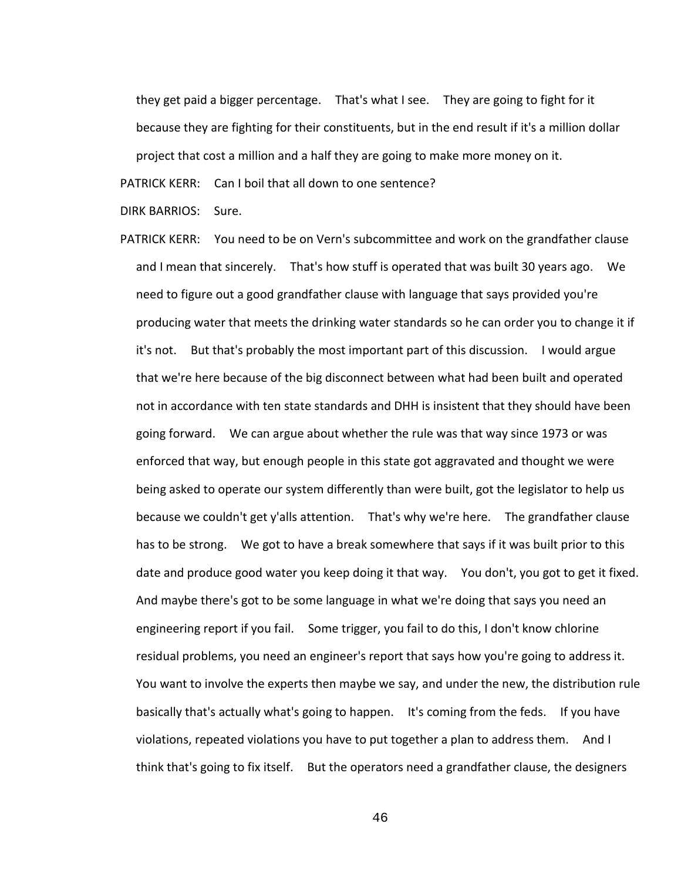they get paid a bigger percentage. That's what I see. They are going to fight for it because they are fighting for their constituents, but in the end result if it's a million dollar project that cost a million and a half they are going to make more money on it.

PATRICK KERR: Can I boil that all down to one sentence?

DIRK BARRIOS: Sure.

PATRICK KERR: You need to be on Vern's subcommittee and work on the grandfather clause and I mean that sincerely. That's how stuff is operated that was built 30 years ago. We need to figure out a good grandfather clause with language that says provided you're producing water that meets the drinking water standards so he can order you to change it if it's not. But that's probably the most important part of this discussion. I would argue that we're here because of the big disconnect between what had been built and operated not in accordance with ten state standards and DHH is insistent that they should have been going forward. We can argue about whether the rule was that way since 1973 or was enforced that way, but enough people in this state got aggravated and thought we were being asked to operate our system differently than were built, got the legislator to help us because we couldn't get y'alls attention. That's why we're here. The grandfather clause has to be strong. We got to have a break somewhere that says if it was built prior to this date and produce good water you keep doing it that way. You don't, you got to get it fixed. And maybe there's got to be some language in what we're doing that says you need an engineering report if you fail. Some trigger, you fail to do this, I don't know chlorine residual problems, you need an engineer's report that says how you're going to address it. You want to involve the experts then maybe we say, and under the new, the distribution rule basically that's actually what's going to happen. It's coming from the feds. If you have violations, repeated violations you have to put together a plan to address them. And I think that's going to fix itself. But the operators need a grandfather clause, the designers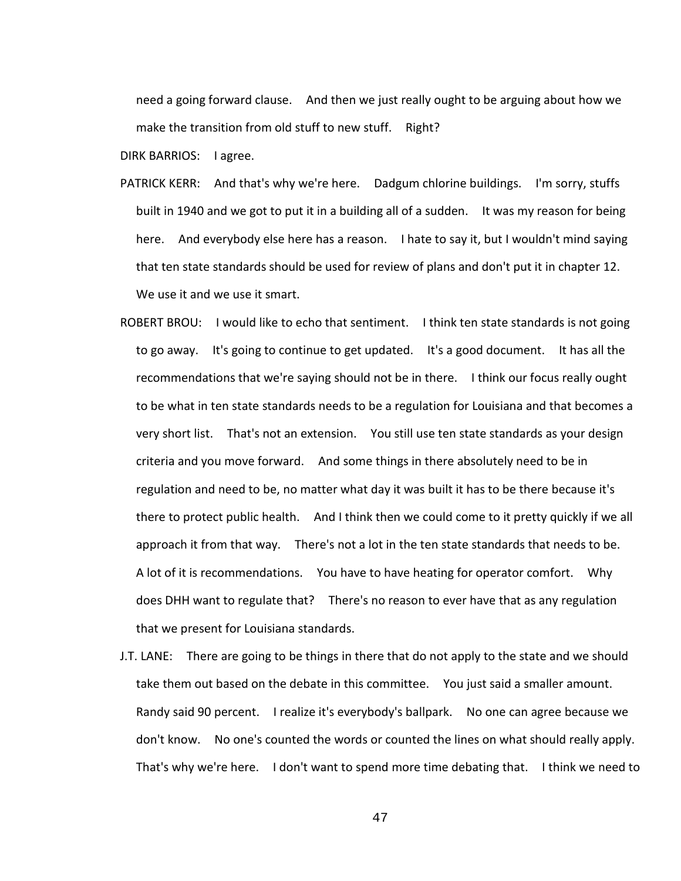need a going forward clause. And then we just really ought to be arguing about how we make the transition from old stuff to new stuff. Right?

DIRK BARRIOS: I agree.

- PATRICK KERR: And that's why we're here. Dadgum chlorine buildings. I'm sorry, stuffs built in 1940 and we got to put it in a building all of a sudden. It was my reason for being here. And everybody else here has a reason. I hate to say it, but I wouldn't mind saying that ten state standards should be used for review of plans and don't put it in chapter 12. We use it and we use it smart.
- ROBERT BROU: I would like to echo that sentiment. I think ten state standards is not going to go away. It's going to continue to get updated. It's a good document. It has all the recommendations that we're saying should not be in there. I think our focus really ought to be what in ten state standards needs to be a regulation for Louisiana and that becomes a very short list. That's not an extension. You still use ten state standards as your design criteria and you move forward. And some things in there absolutely need to be in regulation and need to be, no matter what day it was built it has to be there because it's there to protect public health. And I think then we could come to it pretty quickly if we all approach it from that way. There's not a lot in the ten state standards that needs to be. A lot of it is recommendations. You have to have heating for operator comfort. Why does DHH want to regulate that? There's no reason to ever have that as any regulation that we present for Louisiana standards.
- J.T. LANE: There are going to be things in there that do not apply to the state and we should take them out based on the debate in this committee. You just said a smaller amount. Randy said 90 percent. I realize it's everybody's ballpark. No one can agree because we don't know. No one's counted the words or counted the lines on what should really apply. That's why we're here. I don't want to spend more time debating that. I think we need to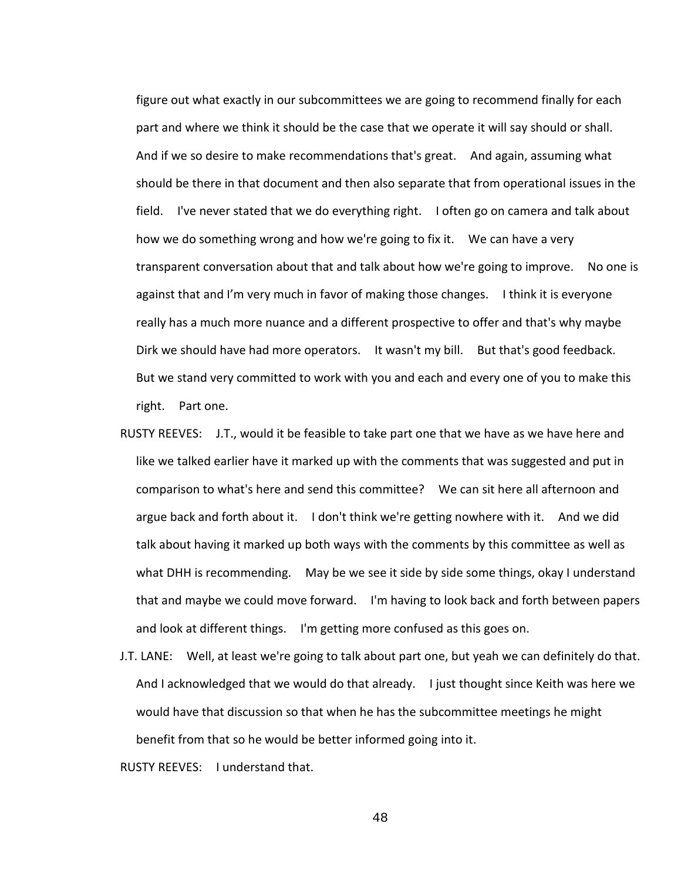figure out what exactly in our subcommittees we are going to recommend finally for each part and where we think it should be the case that we operate it will say should or shall. And if we so desire to make recommendations that's great. And again, assuming what should be there in that document and then also separate that from operational issues in the field. I've never stated that we do everything right. I often go on camera and talk about how we do something wrong and how we're going to fix it. We can have a very transparent conversation about that and talk about how we're going to improve. No one is against that and I'm very much in favor of making those changes. I think it is everyone really has a much more nuance and a different prospective to offer and that's why maybe Dirk we should have had more operators. It wasn't my bill. But that's good feedback. But we stand very committed to work with you and each and every one of you to make this right. Part one.

- RUSTY REEVES: J.T., would it be feasible to take part one that we have as we have here and like we talked earlier have it marked up with the comments that was suggested and put in comparison to what's here and send this committee? We can sit here all afternoon and argue back and forth about it. I don't think we're getting nowhere with it. And we did talk about having it marked up both ways with the comments by this committee as well as what DHH is recommending. May be we see it side by side some things, okay I understand that and maybe we could move forward. I'm having to look back and forth between papers and look at different things. I'm getting more confused as this goes on.
- J.T. LANE: Well, at least we're going to talk about part one, but yeah we can definitely do that. And I acknowledged that we would do that already. I just thought since Keith was here we would have that discussion so that when he has the subcommittee meetings he might benefit from that so he would be better informed going into it.

RUSTY REEVES: I understand that.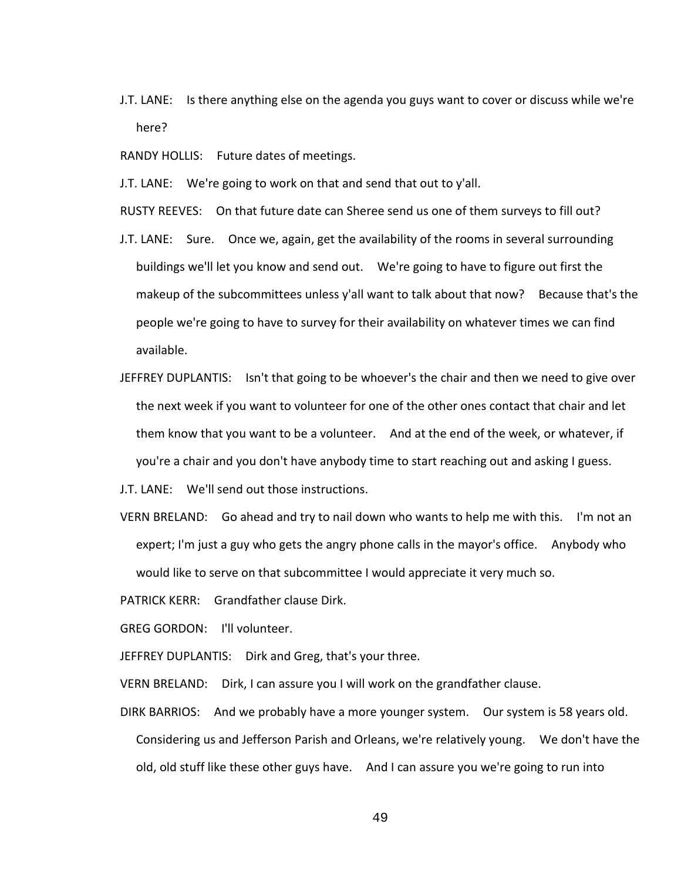J.T. LANE: Is there anything else on the agenda you guys want to cover or discuss while we're here?

RANDY HOLLIS: Future dates of meetings.

J.T. LANE: We're going to work on that and send that out to y'all.

RUSTY REEVES: On that future date can Sheree send us one of them surveys to fill out?

- J.T. LANE: Sure. Once we, again, get the availability of the rooms in several surrounding buildings we'll let you know and send out. We're going to have to figure out first the makeup of the subcommittees unless y'all want to talk about that now? Because that's the people we're going to have to survey for their availability on whatever times we can find available.
- JEFFREY DUPLANTIS: Isn't that going to be whoever's the chair and then we need to give over the next week if you want to volunteer for one of the other ones contact that chair and let them know that you want to be a volunteer. And at the end of the week, or whatever, if you're a chair and you don't have anybody time to start reaching out and asking I guess.

J.T. LANE: We'll send out those instructions.

VERN BRELAND: Go ahead and try to nail down who wants to help me with this. I'm not an expert; I'm just a guy who gets the angry phone calls in the mayor's office. Anybody who would like to serve on that subcommittee I would appreciate it very much so.

PATRICK KERR: Grandfather clause Dirk.

GREG GORDON: I'll volunteer.

JEFFREY DUPLANTIS: Dirk and Greg, that's your three.

VERN BRELAND: Dirk, I can assure you I will work on the grandfather clause.

DIRK BARRIOS: And we probably have a more younger system. Our system is 58 years old. Considering us and Jefferson Parish and Orleans, we're relatively young. We don't have the old, old stuff like these other guys have. And I can assure you we're going to run into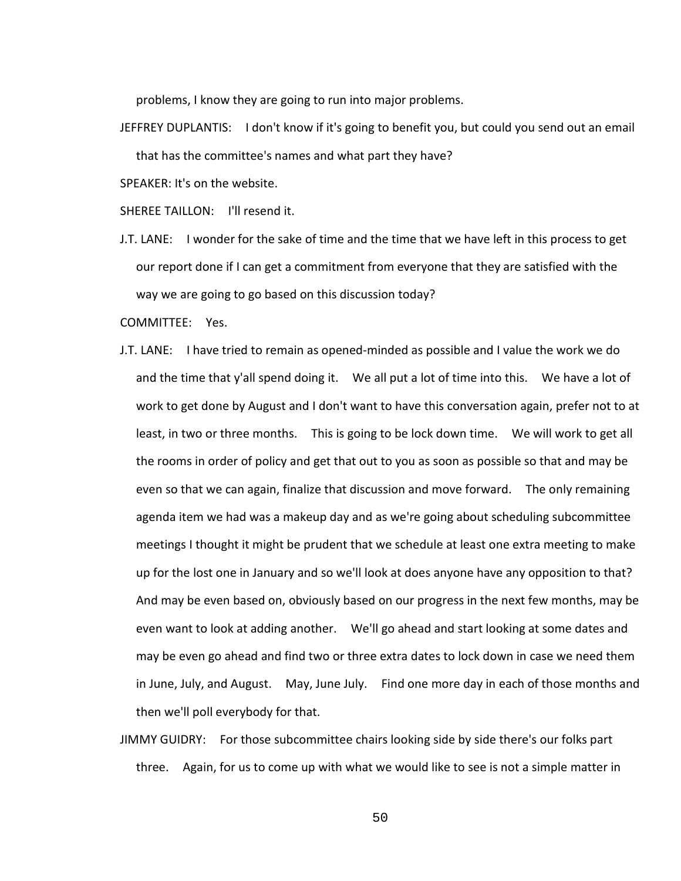problems, I know they are going to run into major problems.

JEFFREY DUPLANTIS: I don't know if it's going to benefit you, but could you send out an email that has the committee's names and what part they have?

SPEAKER: It's on the website.

SHEREE TAILLON: I'll resend it.

J.T. LANE: I wonder for the sake of time and the time that we have left in this process to get our report done if I can get a commitment from everyone that they are satisfied with the way we are going to go based on this discussion today?

COMMITTEE: Yes.

- J.T. LANE: I have tried to remain as opened-minded as possible and I value the work we do and the time that y'all spend doing it. We all put a lot of time into this. We have a lot of work to get done by August and I don't want to have this conversation again, prefer not to at least, in two or three months. This is going to be lock down time. We will work to get all the rooms in order of policy and get that out to you as soon as possible so that and may be even so that we can again, finalize that discussion and move forward. The only remaining agenda item we had was a makeup day and as we're going about scheduling subcommittee meetings I thought it might be prudent that we schedule at least one extra meeting to make up for the lost one in January and so we'll look at does anyone have any opposition to that? And may be even based on, obviously based on our progress in the next few months, may be even want to look at adding another. We'll go ahead and start looking at some dates and may be even go ahead and find two or three extra dates to lock down in case we need them in June, July, and August. May, June July. Find one more day in each of those months and then we'll poll everybody for that.
- JIMMY GUIDRY: For those subcommittee chairs looking side by side there's our folks part three. Again, for us to come up with what we would like to see is not a simple matter in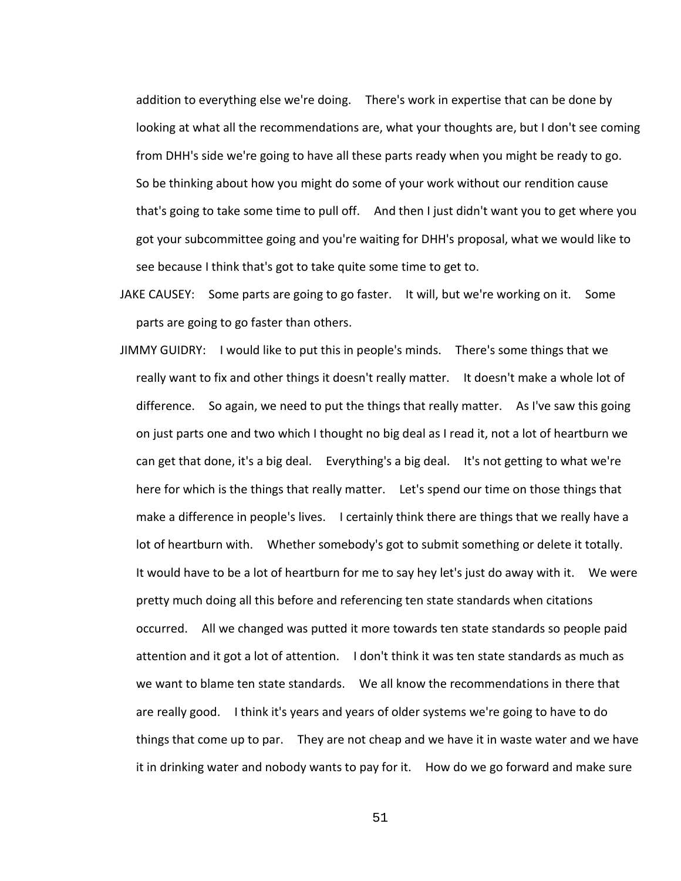addition to everything else we're doing. There's work in expertise that can be done by looking at what all the recommendations are, what your thoughts are, but I don't see coming from DHH's side we're going to have all these parts ready when you might be ready to go. So be thinking about how you might do some of your work without our rendition cause that's going to take some time to pull off. And then I just didn't want you to get where you got your subcommittee going and you're waiting for DHH's proposal, what we would like to see because I think that's got to take quite some time to get to.

- JAKE CAUSEY: Some parts are going to go faster. It will, but we're working on it. Some parts are going to go faster than others.
- JIMMY GUIDRY: I would like to put this in people's minds. There's some things that we really want to fix and other things it doesn't really matter. It doesn't make a whole lot of difference. So again, we need to put the things that really matter. As I've saw this going on just parts one and two which I thought no big deal as I read it, not a lot of heartburn we can get that done, it's a big deal. Everything's a big deal. It's not getting to what we're here for which is the things that really matter. Let's spend our time on those things that make a difference in people's lives. I certainly think there are things that we really have a lot of heartburn with. Whether somebody's got to submit something or delete it totally. It would have to be a lot of heartburn for me to say hey let's just do away with it. We were pretty much doing all this before and referencing ten state standards when citations occurred. All we changed was putted it more towards ten state standards so people paid attention and it got a lot of attention. I don't think it was ten state standards as much as we want to blame ten state standards. We all know the recommendations in there that are really good. I think it's years and years of older systems we're going to have to do things that come up to par. They are not cheap and we have it in waste water and we have it in drinking water and nobody wants to pay for it. How do we go forward and make sure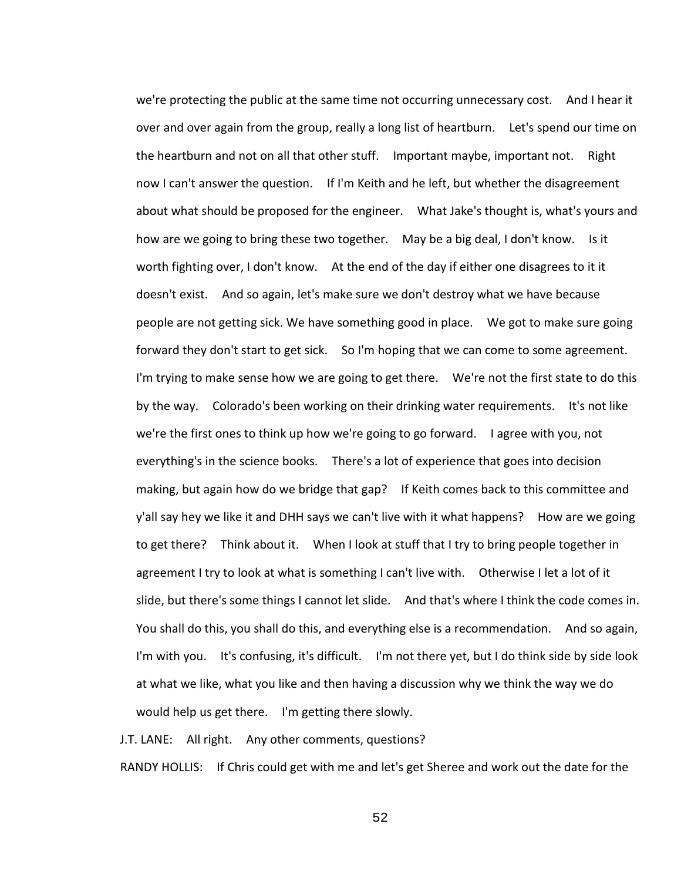we're protecting the public at the same time not occurring unnecessary cost. And I hear it over and over again from the group, really a long list of heartburn. Let's spend our time on the heartburn and not on all that other stuff. Important maybe, important not. Right now I can't answer the question. If I'm Keith and he left, but whether the disagreement about what should be proposed for the engineer. What Jake's thought is, what's yours and how are we going to bring these two together. May be a big deal, I don't know. Is it worth fighting over, I don't know. At the end of the day if either one disagrees to it it doesn't exist. And so again, let's make sure we don't destroy what we have because people are not getting sick. We have something good in place. We got to make sure going forward they don't start to get sick. So I'm hoping that we can come to some agreement. I'm trying to make sense how we are going to get there. We're not the first state to do this by the way. Colorado's been working on their drinking water requirements. It's not like we're the first ones to think up how we're going to go forward. I agree with you, not everything's in the science books. There's a lot of experience that goes into decision making, but again how do we bridge that gap? If Keith comes back to this committee and y'all say hey we like it and DHH says we can't live with it what happens? How are we going to get there? Think about it. When I look at stuff that I try to bring people together in agreement I try to look at what is something I can't live with. Otherwise I let a lot of it slide, but there's some things I cannot let slide. And that's where I think the code comes in. You shall do this, you shall do this, and everything else is a recommendation. And so again, I'm with you. It's confusing, it's difficult. I'm not there yet, but I do think side by side look at what we like, what you like and then having a discussion why we think the way we do would help us get there. I'm getting there slowly.

J.T. LANE: All right. Any other comments, questions?

RANDY HOLLIS: If Chris could get with me and let's get Sheree and work out the date for the